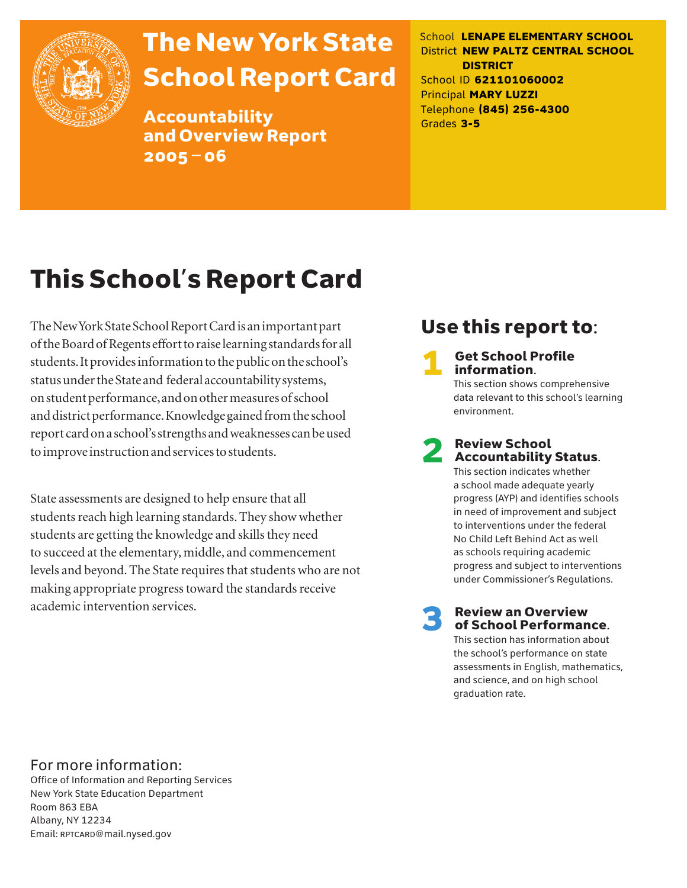

## The New York State School Report Card

Accountability and Overview Report 2005–06

School **LENAPE ELEMENTARY SCHOOL** District **NEW PALTZ CENTRAL SCHOOL DISTRICT** School ID **621101060002** Principal **MARY LUZZI** Telephone **(845) 256-4300** Grades **3-5**

## This School's Report Card

The New York State School Report Card is an important part of the Board of Regents effort to raise learning standards for all students. It provides information to the public on the school's status under the State and federal accountability systems, on student performance, and on other measures of school and district performance. Knowledge gained from the school report card on a school's strengths and weaknesses can be used to improve instruction and services to students.

State assessments are designed to help ensure that all students reach high learning standards. They show whether students are getting the knowledge and skills they need to succeed at the elementary, middle, and commencement levels and beyond. The State requires that students who are not making appropriate progress toward the standards receive academic intervention services.

### Use this report to:

**Get School Profile** information. This section shows comprehensive

data relevant to this school's learning environment.

# 2 Review School Accountability Status.

This section indicates whether a school made adequate yearly progress (AYP) and identifies schools in need of improvement and subject to interventions under the federal No Child Left Behind Act as well as schools requiring academic progress and subject to interventions under Commissioner's Regulations.

**Review an Overview** of School Performance.

This section has information about the school's performance on state assessments in English, mathematics, and science, and on high school graduation rate.

### For more information:

Office of Information and Reporting Services New York State Education Department Room 863 EBA Albany, NY 12234 Email: RPTCARD@mail.nysed.gov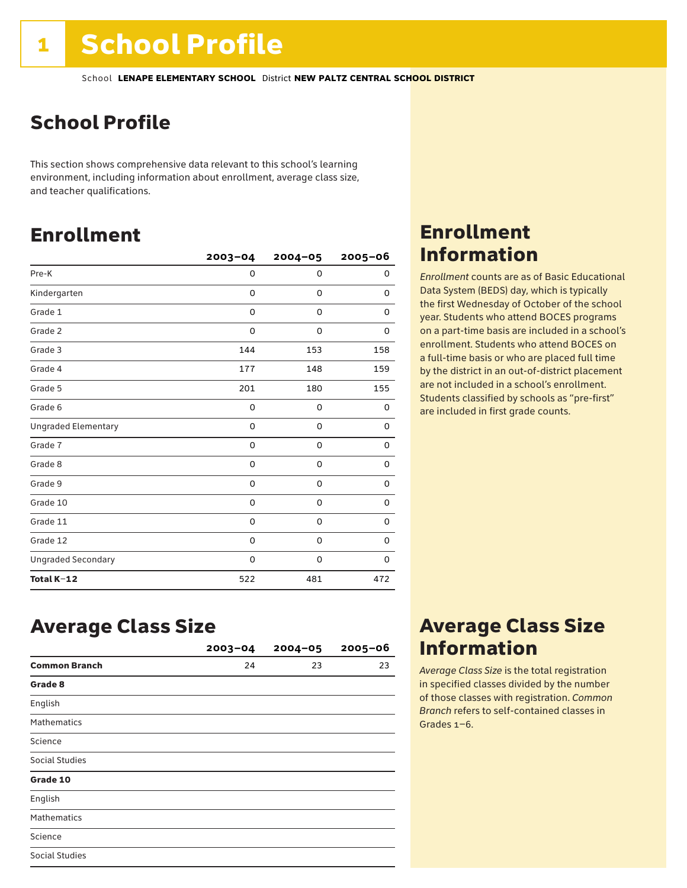### School Profile

This section shows comprehensive data relevant to this school's learning environment, including information about enrollment, average class size, and teacher qualifications.

### Enrollment

|                            | $2003 - 04$ | $2004 - 05$ | 2005-06     |
|----------------------------|-------------|-------------|-------------|
| Pre-K                      | $\Omega$    | 0           | 0           |
| Kindergarten               | $\Omega$    | 0           | 0           |
| Grade 1                    | 0           | 0           | 0           |
| Grade 2                    | 0           | 0           | 0           |
| Grade 3                    | 144         | 153         | 158         |
| Grade 4                    | 177         | 148         | 159         |
| Grade 5                    | 201         | 180         | 155         |
| Grade 6                    | 0           | 0           | 0           |
| <b>Ungraded Elementary</b> | 0           | 0           | 0           |
| Grade 7                    | 0           | $\mathbf 0$ | 0           |
| Grade 8                    | 0           | 0           | 0           |
| Grade 9                    | 0           | 0           | 0           |
| Grade 10                   | 0           | 0           | 0           |
| Grade 11                   | 0           | $\mathbf 0$ | $\mathbf 0$ |
| Grade 12                   | 0           | 0           | 0           |
| <b>Ungraded Secondary</b>  | 0           | 0           | $\Omega$    |
| Total K-12                 | 522         | 481         | 472         |

### Enrollment Information

*Enrollment* counts are as of Basic Educational Data System (BEDS) day, which is typically the first Wednesday of October of the school year. Students who attend BOCES programs on a part-time basis are included in a school's enrollment. Students who attend BOCES on a full-time basis or who are placed full time by the district in an out-of-district placement are not included in a school's enrollment. Students classified by schools as "pre-first" are included in first grade counts.

### Average Class Size

|                      | $2003 - 04$ | $2004 - 05$ | $2005 - 06$ |
|----------------------|-------------|-------------|-------------|
| <b>Common Branch</b> | 24          | 23          | 23          |
| Grade 8              |             |             |             |
| English              |             |             |             |
| <b>Mathematics</b>   |             |             |             |
| Science              |             |             |             |
| Social Studies       |             |             |             |
| Grade 10             |             |             |             |
| English              |             |             |             |
| <b>Mathematics</b>   |             |             |             |
| Science              |             |             |             |
| Social Studies       |             |             |             |

### Average Class Size Information

*Average Class Size* is the total registration in specified classes divided by the number of those classes with registration. *Common Branch* refers to self-contained classes in Grades 1–6.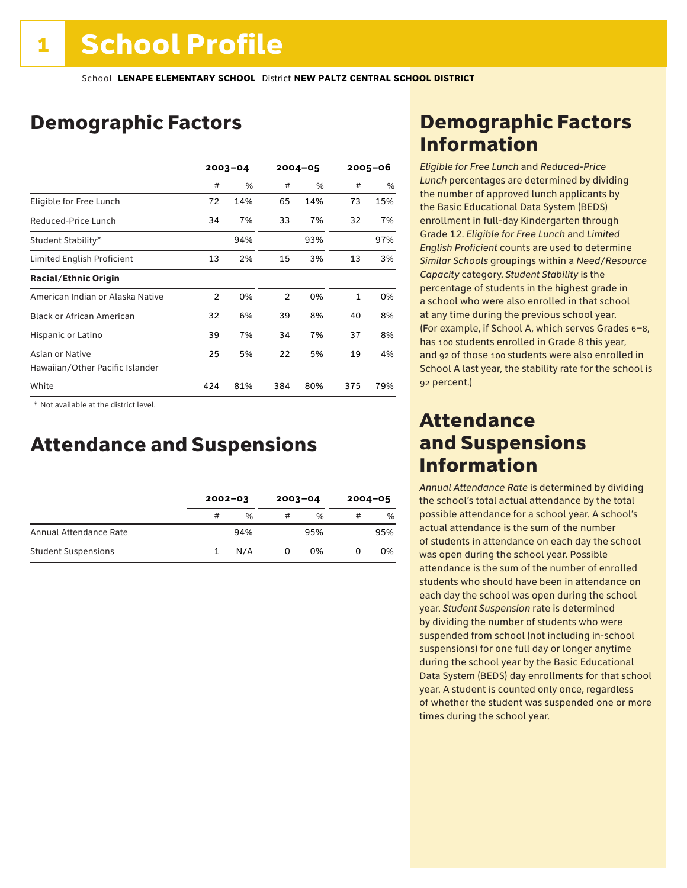### Demographic Factors

|                                  | $2003 - 04$    |     | $2004 - 05$    |     | $2005 - 06$ |     |
|----------------------------------|----------------|-----|----------------|-----|-------------|-----|
|                                  | #              | %   | #              | %   | #           | %   |
| Eligible for Free Lunch          | 72             | 14% | 65             | 14% | 73          | 15% |
| Reduced-Price Lunch              | 34             | 7%  | 33             | 7%  | 32          | 7%  |
| Student Stability*               |                | 94% |                | 93% |             | 97% |
| Limited English Proficient       | 13             | 2%  | 15             | 3%  | 13          | 3%  |
| <b>Racial/Ethnic Origin</b>      |                |     |                |     |             |     |
| American Indian or Alaska Native | $\overline{2}$ | 0%  | $\overline{2}$ | 0%  | 1           | 0%  |
| <b>Black or African American</b> | 32             | 6%  | 39             | 8%  | 40          | 8%  |
| Hispanic or Latino               | 39             | 7%  | 34             | 7%  | 37          | 8%  |
| Asian or Native                  | 25             | 5%  | 22             | 5%  | 19          | 4%  |
| Hawaiian/Other Pacific Islander  |                |     |                |     |             |     |
| White                            | 424            | 81% | 384            | 80% | 375         | 79% |

 \* Not available at the district level.

### Attendance and Suspensions

|                            |   | $2002 - 03$   |   | $2003 - 04$ |   | $2004 - 05$ |  |
|----------------------------|---|---------------|---|-------------|---|-------------|--|
|                            | # | $\frac{0}{0}$ | # | $\%$        | # | %           |  |
| Annual Attendance Rate     |   | 94%           |   | 95%         |   | 95%         |  |
| <b>Student Suspensions</b> |   | N/A           |   | 0%          |   | 0%          |  |

### Demographic Factors Information

*Eligible for Free Lunch* and *Reduced*-*Price Lunch* percentages are determined by dividing the number of approved lunch applicants by the Basic Educational Data System (BEDS) enrollment in full-day Kindergarten through Grade 12. *Eligible for Free Lunch* and *Limited English Proficient* counts are used to determine *Similar Schools* groupings within a *Need*/*Resource Capacity* category. *Student Stability* is the percentage of students in the highest grade in a school who were also enrolled in that school at any time during the previous school year. (For example, if School A, which serves Grades 6–8, has 100 students enrolled in Grade 8 this year, and 92 of those 100 students were also enrolled in School A last year, the stability rate for the school is 92 percent.)

### Attendance and Suspensions Information

*Annual Attendance Rate* is determined by dividing the school's total actual attendance by the total possible attendance for a school year. A school's actual attendance is the sum of the number of students in attendance on each day the school was open during the school year. Possible attendance is the sum of the number of enrolled students who should have been in attendance on each day the school was open during the school year. *Student Suspension* rate is determined by dividing the number of students who were suspended from school (not including in-school suspensions) for one full day or longer anytime during the school year by the Basic Educational Data System (BEDS) day enrollments for that school year. A student is counted only once, regardless of whether the student was suspended one or more times during the school year.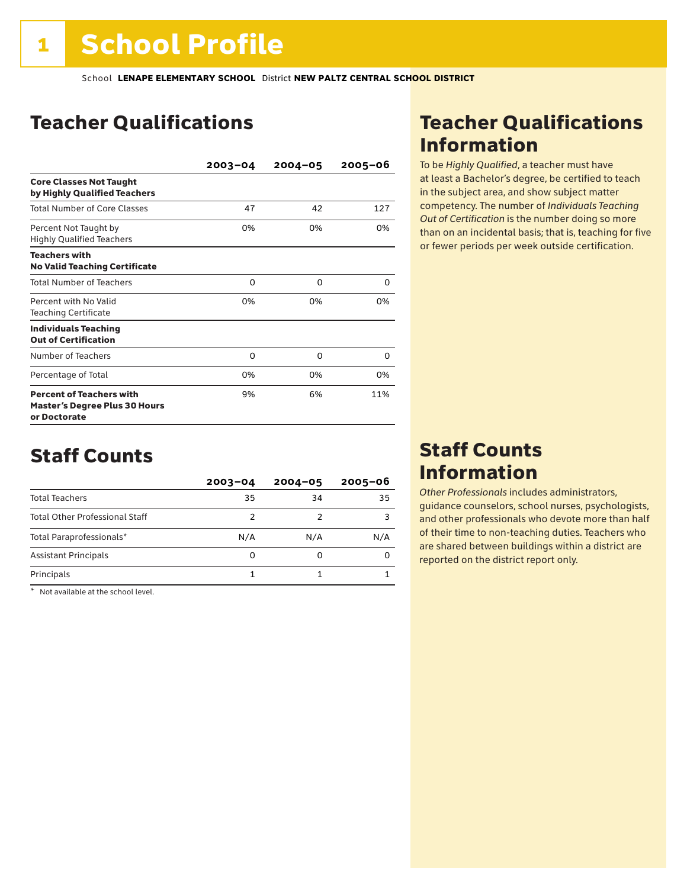### Teacher Qualifications

|                                                                                         | $2003 - 04$ | $2004 - 05$ | 2005-06 |
|-----------------------------------------------------------------------------------------|-------------|-------------|---------|
| <b>Core Classes Not Taught</b><br>by Highly Qualified Teachers                          |             |             |         |
| <b>Total Number of Core Classes</b>                                                     | 47          | 42          | 127     |
| Percent Not Taught by<br><b>Highly Qualified Teachers</b>                               | 0%          | 0%          | 0%      |
| <b>Teachers with</b><br><b>No Valid Teaching Certificate</b>                            |             |             |         |
| <b>Total Number of Teachers</b>                                                         | 0           | 0           | 0       |
| Percent with No Valid<br><b>Teaching Certificate</b>                                    | 0%          | 0%          | 0%      |
| <b>Individuals Teaching</b><br><b>Out of Certification</b>                              |             |             |         |
| Number of Teachers                                                                      | 0           | 0           | 0       |
| Percentage of Total                                                                     | 0%          | 0%          | 0%      |
| <b>Percent of Teachers with</b><br><b>Master's Degree Plus 30 Hours</b><br>or Doctorate | 9%          | 6%          | 11%     |

### Staff Counts

|                                       | $2003 - 04$ | $2004 - 05$ | $2005 - 06$ |
|---------------------------------------|-------------|-------------|-------------|
| <b>Total Teachers</b>                 | 35          | 34          | 35          |
| <b>Total Other Professional Staff</b> | 2           |             |             |
| Total Paraprofessionals*              | N/A         | N/A         | N/A         |
| <b>Assistant Principals</b>           | 0           |             |             |
| Principals                            |             |             |             |

\* Not available at the school level.

### Teacher Qualifications Information

To be *Highly Qualified*, a teacher must have at least a Bachelor's degree, be certified to teach in the subject area, and show subject matter competency. The number of *Individuals Teaching Out of Certification* is the number doing so more than on an incidental basis; that is, teaching for five or fewer periods per week outside certification.

### Staff Counts Information

*Other Professionals* includes administrators, guidance counselors, school nurses, psychologists, and other professionals who devote more than half of their time to non-teaching duties. Teachers who are shared between buildings within a district are reported on the district report only.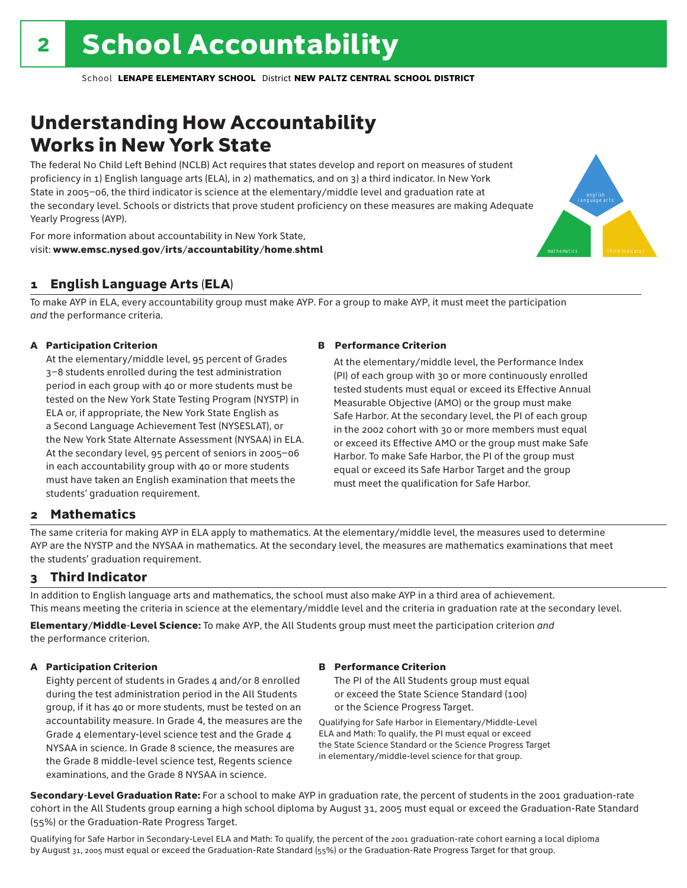### Understanding How Accountability Works in New York State

The federal No Child Left Behind (NCLB) Act requires that states develop and report on measures of student proficiency in 1) English language arts (ELA), in 2) mathematics, and on 3) a third indicator. In New York State in 2005–06, the third indicator is science at the elementary/middle level and graduation rate at the secondary level. Schools or districts that prove student proficiency on these measures are making Adequate Yearly Progress (AYP).



For more information about accountability in New York State, visit: www.emsc.nysed.gov/irts/accountability/home.shtml

#### 1 English Language Arts (ELA)

To make AYP in ELA, every accountability group must make AYP. For a group to make AYP, it must meet the participation *and* the performance criteria.

#### A Participation Criterion

At the elementary/middle level, 95 percent of Grades 3–8 students enrolled during the test administration period in each group with 40 or more students must be tested on the New York State Testing Program (NYSTP) in ELA or, if appropriate, the New York State English as a Second Language Achievement Test (NYSESLAT), or the New York State Alternate Assessment (NYSAA) in ELA. At the secondary level, 95 percent of seniors in 2005–06 in each accountability group with 40 or more students must have taken an English examination that meets the students' graduation requirement.

#### B Performance Criterion

At the elementary/middle level, the Performance Index (PI) of each group with 30 or more continuously enrolled tested students must equal or exceed its Effective Annual Measurable Objective (AMO) or the group must make Safe Harbor. At the secondary level, the PI of each group in the 2002 cohort with 30 or more members must equal or exceed its Effective AMO or the group must make Safe Harbor. To make Safe Harbor, the PI of the group must equal or exceed its Safe Harbor Target and the group must meet the qualification for Safe Harbor.

#### 2 Mathematics

The same criteria for making AYP in ELA apply to mathematics. At the elementary/middle level, the measures used to determine AYP are the NYSTP and the NYSAA in mathematics. At the secondary level, the measures are mathematics examinations that meet the students' graduation requirement.

#### 3 Third Indicator

In addition to English language arts and mathematics, the school must also make AYP in a third area of achievement. This means meeting the criteria in science at the elementary/middle level and the criteria in graduation rate at the secondary level.

Elementary/Middle-Level Science: To make AYP, the All Students group must meet the participation criterion *and* the performance criterion.

#### A Participation Criterion

Eighty percent of students in Grades 4 and/or 8 enrolled during the test administration period in the All Students group, if it has 40 or more students, must be tested on an accountability measure. In Grade 4, the measures are the Grade 4 elementary-level science test and the Grade 4 NYSAA in science. In Grade 8 science, the measures are the Grade 8 middle-level science test, Regents science examinations, and the Grade 8 NYSAA in science.

#### B Performance Criterion

The PI of the All Students group must equal or exceed the State Science Standard (100) or the Science Progress Target.

Qualifying for Safe Harbor in Elementary/Middle-Level ELA and Math: To qualify, the PI must equal or exceed the State Science Standard or the Science Progress Target in elementary/middle-level science for that group.

Secondary-Level Graduation Rate: For a school to make AYP in graduation rate, the percent of students in the 2001 graduation-rate cohort in the All Students group earning a high school diploma by August 31, 2005 must equal or exceed the Graduation-Rate Standard (55%) or the Graduation-Rate Progress Target.

Qualifying for Safe Harbor in Secondary-Level ELA and Math: To qualify, the percent of the 2001 graduation-rate cohort earning a local diploma by August 31, 2005 must equal or exceed the Graduation-Rate Standard (55%) or the Graduation-Rate Progress Target for that group.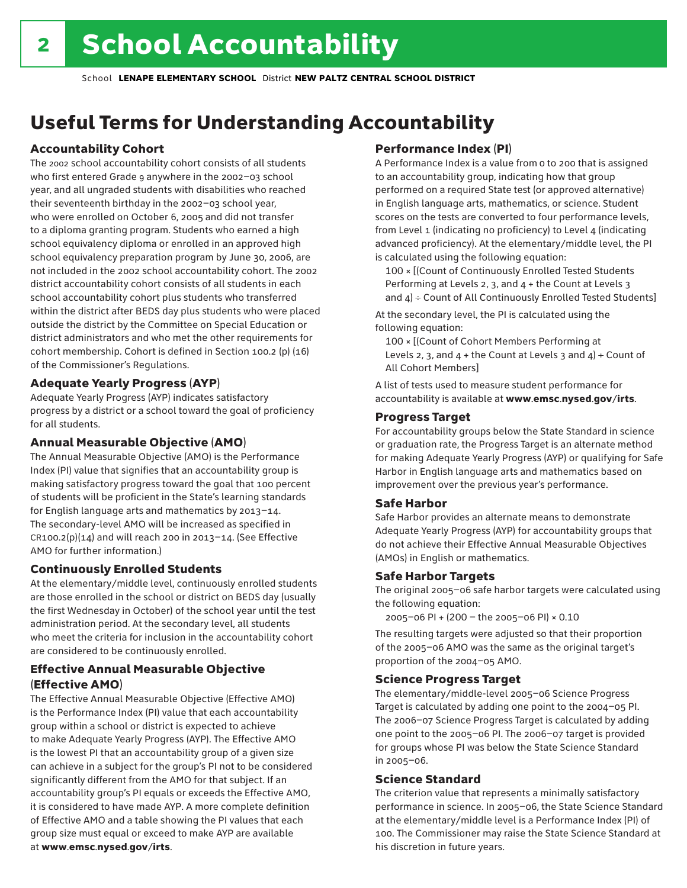## Useful Terms for Understanding Accountability

#### Accountability Cohort

The 2002 school accountability cohort consists of all students who first entered Grade 9 anywhere in the 2002–03 school year, and all ungraded students with disabilities who reached their seventeenth birthday in the 2002–03 school year, who were enrolled on October 6, 2005 and did not transfer to a diploma granting program. Students who earned a high school equivalency diploma or enrolled in an approved high school equivalency preparation program by June 30, 2006, are not included in the 2002 school accountability cohort. The 2002 district accountability cohort consists of all students in each school accountability cohort plus students who transferred within the district after BEDS day plus students who were placed outside the district by the Committee on Special Education or district administrators and who met the other requirements for cohort membership. Cohort is defined in Section 100.2 (p) (16) of the Commissioner's Regulations.

#### Adequate Yearly Progress (AYP)

Adequate Yearly Progress (AYP) indicates satisfactory progress by a district or a school toward the goal of proficiency for all students.

#### Annual Measurable Objective (AMO)

The Annual Measurable Objective (AMO) is the Performance Index (PI) value that signifies that an accountability group is making satisfactory progress toward the goal that 100 percent of students will be proficient in the State's learning standards for English language arts and mathematics by 2013–14. The secondary-level AMO will be increased as specified in  $CR100.2(p)(14)$  and will reach 200 in 2013-14. (See Effective AMO for further information.)

#### Continuously Enrolled Students

At the elementary/middle level, continuously enrolled students are those enrolled in the school or district on BEDS day (usually the first Wednesday in October) of the school year until the test administration period. At the secondary level, all students who meet the criteria for inclusion in the accountability cohort are considered to be continuously enrolled.

#### Effective Annual Measurable Objective (Effective AMO)

The Effective Annual Measurable Objective (Effective AMO) is the Performance Index (PI) value that each accountability group within a school or district is expected to achieve to make Adequate Yearly Progress (AYP). The Effective AMO is the lowest PI that an accountability group of a given size can achieve in a subject for the group's PI not to be considered significantly different from the AMO for that subject. If an accountability group's PI equals or exceeds the Effective AMO, it is considered to have made AYP. A more complete definition of Effective AMO and a table showing the PI values that each group size must equal or exceed to make AYP are available at www.emsc.nysed.gov/irts.

#### Performance Index (PI)

A Performance Index is a value from 0 to 200 that is assigned to an accountability group, indicating how that group performed on a required State test (or approved alternative) in English language arts, mathematics, or science. Student scores on the tests are converted to four performance levels, from Level 1 (indicating no proficiency) to Level 4 (indicating advanced proficiency). At the elementary/middle level, the PI is calculated using the following equation:

100 × [(Count of Continuously Enrolled Tested Students Performing at Levels 2, 3, and 4 + the Count at Levels 3 and  $4$ ) ÷ Count of All Continuously Enrolled Tested Students]

At the secondary level, the PI is calculated using the following equation:

100 × [(Count of Cohort Members Performing at Levels 2, 3, and  $4 +$  the Count at Levels 3 and  $4$ ) ÷ Count of All Cohort Members]

A list of tests used to measure student performance for accountability is available at www.emsc.nysed.gov/irts.

#### Progress Target

For accountability groups below the State Standard in science or graduation rate, the Progress Target is an alternate method for making Adequate Yearly Progress (AYP) or qualifying for Safe Harbor in English language arts and mathematics based on improvement over the previous year's performance.

#### Safe Harbor

Safe Harbor provides an alternate means to demonstrate Adequate Yearly Progress (AYP) for accountability groups that do not achieve their Effective Annual Measurable Objectives (AMOs) in English or mathematics.

#### Safe Harbor Targets

The original 2005–06 safe harbor targets were calculated using the following equation:

2005–06 PI + (200 – the 2005–06 PI) × 0.10

The resulting targets were adjusted so that their proportion of the 2005–06 AMO was the same as the original target's proportion of the 2004–05 AMO.

#### Science Progress Target

The elementary/middle-level 2005–06 Science Progress Target is calculated by adding one point to the 2004–05 PI. The 2006–07 Science Progress Target is calculated by adding one point to the 2005–06 PI. The 2006–07 target is provided for groups whose PI was below the State Science Standard in 2005–06.

#### Science Standard

The criterion value that represents a minimally satisfactory performance in science. In 2005–06, the State Science Standard at the elementary/middle level is a Performance Index (PI) of 100. The Commissioner may raise the State Science Standard at his discretion in future years.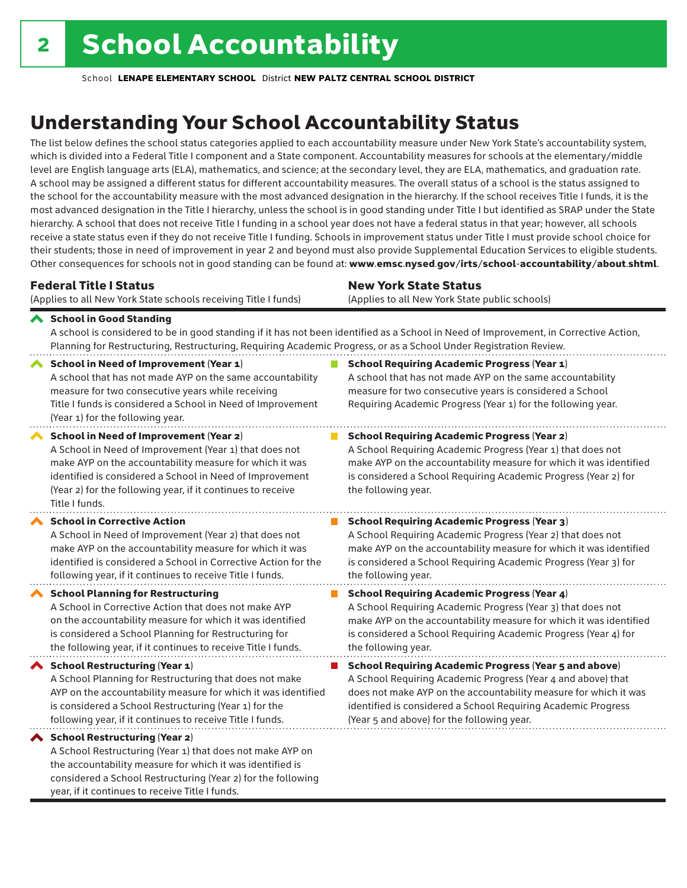considered a School Restructuring (Year 2) for the following

year, if it continues to receive Title I funds.

School **LENAPE ELEMENTARY SCHOOL** District **NEW PALTZ CENTRAL SCHOOL DISTRICT**

## Understanding Your School Accountability Status

The list below defines the school status categories applied to each accountability measure under New York State's accountability system, which is divided into a Federal Title I component and a State component. Accountability measures for schools at the elementary/middle level are English language arts (ELA), mathematics, and science; at the secondary level, they are ELA, mathematics, and graduation rate. A school may be assigned a different status for different accountability measures. The overall status of a school is the status assigned to the school for the accountability measure with the most advanced designation in the hierarchy. If the school receives Title I funds, it is the most advanced designation in the Title I hierarchy, unless the school is in good standing under Title I but identified as SRAP under the State hierarchy. A school that does not receive Title I funding in a school year does not have a federal status in that year; however, all schools receive a state status even if they do not receive Title I funding. Schools in improvement status under Title I must provide school choice for their students; those in need of improvement in year 2 and beyond must also provide Supplemental Education Services to eligible students. Other consequences for schools not in good standing can be found at: www.emsc.nysed.gov/irts/school-accountability/about.shtml.

| <b>Federal Title I Status</b>                                                                                                                                                                                                                                                                                   | <b>New York State Status</b>                                                                                                                                                                                                                                                      |  |  |  |  |
|-----------------------------------------------------------------------------------------------------------------------------------------------------------------------------------------------------------------------------------------------------------------------------------------------------------------|-----------------------------------------------------------------------------------------------------------------------------------------------------------------------------------------------------------------------------------------------------------------------------------|--|--|--|--|
| (Applies to all New York State schools receiving Title I funds)                                                                                                                                                                                                                                                 | (Applies to all New York State public schools)                                                                                                                                                                                                                                    |  |  |  |  |
| School in Good Standing<br>Planning for Restructuring, Restructuring, Requiring Academic Progress, or as a School Under Registration Review.                                                                                                                                                                    | A school is considered to be in good standing if it has not been identified as a School in Need of Improvement, in Corrective Action,                                                                                                                                             |  |  |  |  |
| <b>School in Need of Improvement (Year 1)</b><br>A school that has not made AYP on the same accountability<br>measure for two consecutive years while receiving<br>Title I funds is considered a School in Need of Improvement<br>(Year 1) for the following year.                                              | <b>School Requiring Academic Progress (Year 1)</b><br>A school that has not made AYP on the same accountability<br>measure for two consecutive years is considered a School<br>Requiring Academic Progress (Year 1) for the following year.                                       |  |  |  |  |
| <b>School in Need of Improvement (Year 2)</b><br>A School in Need of Improvement (Year 1) that does not<br>make AYP on the accountability measure for which it was<br>identified is considered a School in Need of Improvement<br>(Year 2) for the following year, if it continues to receive<br>Title I funds. | <b>School Requiring Academic Progress (Year 2)</b><br>A School Requiring Academic Progress (Year 1) that does not<br>make AYP on the accountability measure for which it was identified<br>is considered a School Requiring Academic Progress (Year 2) for<br>the following year. |  |  |  |  |
| <b>School in Corrective Action</b>                                                                                                                                                                                                                                                                              | <b>School Requiring Academic Progress (Year 3)</b>                                                                                                                                                                                                                                |  |  |  |  |
| A School in Need of Improvement (Year 2) that does not                                                                                                                                                                                                                                                          | A School Requiring Academic Progress (Year 2) that does not                                                                                                                                                                                                                       |  |  |  |  |
| make AYP on the accountability measure for which it was                                                                                                                                                                                                                                                         | make AYP on the accountability measure for which it was identified                                                                                                                                                                                                                |  |  |  |  |
| identified is considered a School in Corrective Action for the                                                                                                                                                                                                                                                  | is considered a School Requiring Academic Progress (Year 3) for                                                                                                                                                                                                                   |  |  |  |  |
| following year, if it continues to receive Title I funds.                                                                                                                                                                                                                                                       | the following year.                                                                                                                                                                                                                                                               |  |  |  |  |
| <b>School Planning for Restructuring</b>                                                                                                                                                                                                                                                                        | <b>School Requiring Academic Progress (Year 4)</b>                                                                                                                                                                                                                                |  |  |  |  |
| A School in Corrective Action that does not make AYP                                                                                                                                                                                                                                                            | A School Requiring Academic Progress (Year 3) that does not                                                                                                                                                                                                                       |  |  |  |  |
| on the accountability measure for which it was identified                                                                                                                                                                                                                                                       | make AYP on the accountability measure for which it was identified                                                                                                                                                                                                                |  |  |  |  |
| is considered a School Planning for Restructuring for                                                                                                                                                                                                                                                           | is considered a School Requiring Academic Progress (Year 4) for                                                                                                                                                                                                                   |  |  |  |  |
| the following year, if it continues to receive Title I funds.                                                                                                                                                                                                                                                   | the following year.                                                                                                                                                                                                                                                               |  |  |  |  |
| <b>School Restructuring (Year 1)</b>                                                                                                                                                                                                                                                                            | <b>School Requiring Academic Progress (Year 5 and above)</b>                                                                                                                                                                                                                      |  |  |  |  |
| A School Planning for Restructuring that does not make                                                                                                                                                                                                                                                          | A School Requiring Academic Progress (Year 4 and above) that                                                                                                                                                                                                                      |  |  |  |  |
| AYP on the accountability measure for which it was identified                                                                                                                                                                                                                                                   | does not make AYP on the accountability measure for which it was                                                                                                                                                                                                                  |  |  |  |  |
| is considered a School Restructuring (Year 1) for the                                                                                                                                                                                                                                                           | identified is considered a School Requiring Academic Progress                                                                                                                                                                                                                     |  |  |  |  |
| following year, if it continues to receive Title I funds.                                                                                                                                                                                                                                                       | (Year 5 and above) for the following year.                                                                                                                                                                                                                                        |  |  |  |  |
| ◆ School Restructuring (Year 2)<br>A School Restructuring (Year 1) that does not make AYP on<br>the accountability measure for which it was identified is                                                                                                                                                       |                                                                                                                                                                                                                                                                                   |  |  |  |  |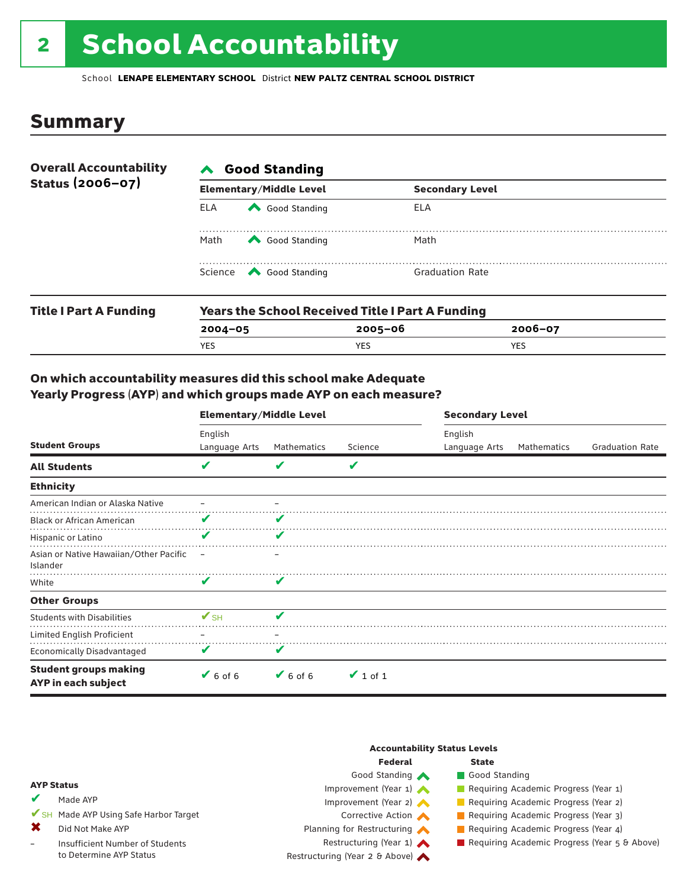## 2 School Accountability

School **LENAPE ELEMENTARY SCHOOL** District **NEW PALTZ CENTRAL SCHOOL DISTRICT**

### Summary

| <b>Overall Accountability</b><br>Status (2006-07) | <b>∧</b> Good Standing |                                                         |                        |  |  |  |
|---------------------------------------------------|------------------------|---------------------------------------------------------|------------------------|--|--|--|
|                                                   |                        | <b>Elementary/Middle Level</b>                          | <b>Secondary Level</b> |  |  |  |
|                                                   | <b>ELA</b>             | Good Standing                                           | ELA                    |  |  |  |
|                                                   | Math                   | Good Standing                                           | Math                   |  |  |  |
|                                                   |                        | Science <a> Good Standing</a>                           | <b>Graduation Rate</b> |  |  |  |
| <b>Title I Part A Funding</b>                     |                        | <b>Years the School Received Title I Part A Funding</b> |                        |  |  |  |

| <b>Title I Part A Funding</b> |             | rears the School Received Title I Part A Funding |             |  |  |  |  |  |
|-------------------------------|-------------|--------------------------------------------------|-------------|--|--|--|--|--|
|                               | $2004 - 05$ | 2005-06                                          | $2006 - 07$ |  |  |  |  |  |
|                               | YES         | <b>YES</b>                                       | YES         |  |  |  |  |  |
|                               |             |                                                  |             |  |  |  |  |  |

#### On which accountability measures did this school make Adequate Yearly Progress (AYP) and which groups made AYP on each measure?

|                                                     | <b>Elementary/Middle Level</b> |               |               | <b>Secondary Level</b>   |             |                        |  |
|-----------------------------------------------------|--------------------------------|---------------|---------------|--------------------------|-------------|------------------------|--|
| <b>Student Groups</b>                               | English<br>Language Arts       | Mathematics   | Science       | English<br>Language Arts | Mathematics | <b>Graduation Rate</b> |  |
| <b>All Students</b>                                 | v                              | V             | V             |                          |             |                        |  |
| <b>Ethnicity</b>                                    |                                |               |               |                          |             |                        |  |
| American Indian or Alaska Native                    |                                |               |               |                          |             |                        |  |
| <b>Black or African American</b>                    | V                              | v             |               |                          |             |                        |  |
| Hispanic or Latino                                  | v                              | V             |               |                          |             |                        |  |
| Asian or Native Hawaiian/Other Pacific<br>Islander  |                                |               |               |                          |             |                        |  |
| White                                               | v                              | V             |               |                          |             |                        |  |
| <b>Other Groups</b>                                 |                                |               |               |                          |             |                        |  |
| <b>Students with Disabilities</b>                   | $\mathbf{V}_{\text{SH}}$       |               |               |                          |             |                        |  |
| Limited English Proficient                          |                                |               |               |                          |             |                        |  |
| <b>Economically Disadvantaged</b>                   | v                              | v             |               |                          |             |                        |  |
| <b>Student groups making</b><br>AYP in each subject | $V$ 6 of 6                     | $\vee$ 6 of 6 | $\vee$ 1 of 1 |                          |             |                        |  |

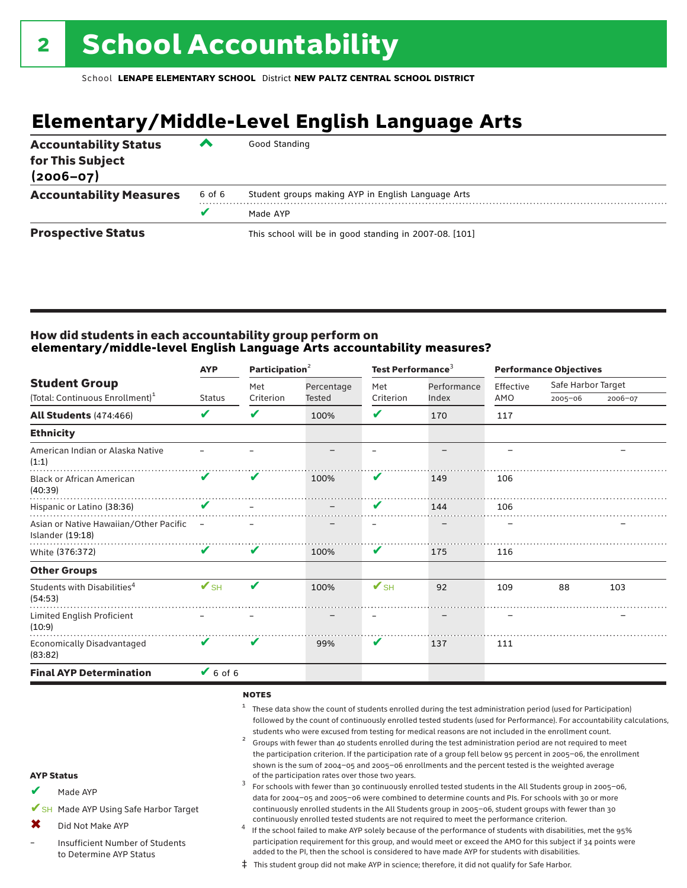## **Elementary/Middle-Level English Language Arts**

| <b>Accountability Status</b><br>for This Subject<br>$(2006 - 07)$ | ▰      | Good Standing                                          |
|-------------------------------------------------------------------|--------|--------------------------------------------------------|
| <b>Accountability Measures</b>                                    | 6 of 6 | Student groups making AYP in English Language Arts     |
|                                                                   |        | Made AYP                                               |
| <b>Prospective Status</b>                                         |        | This school will be in good standing in 2007-08. [101] |

#### How did students in each accountability group perform on **elementary/middle-level English Language Arts accountability measures?**

|                                                            | <b>AYP</b>               | Participation <sup>2</sup> |               | Test Performance <sup>3</sup> |             | <b>Performance Objectives</b> |                    |         |
|------------------------------------------------------------|--------------------------|----------------------------|---------------|-------------------------------|-------------|-------------------------------|--------------------|---------|
| <b>Student Group</b>                                       |                          | Met                        | Percentage    | Met                           | Performance | Effective                     | Safe Harbor Target |         |
| (Total: Continuous Enrollment) <sup>1</sup>                | <b>Status</b>            | Criterion                  | <b>Tested</b> | Criterion                     | Index       | AMO                           | $2005 - 06$        | 2006-07 |
| <b>All Students (474:466)</b>                              | V                        | V                          | 100%          | V                             | 170         | 117                           |                    |         |
| <b>Ethnicity</b>                                           |                          |                            |               |                               |             |                               |                    |         |
| American Indian or Alaska Native<br>(1:1)                  |                          |                            |               |                               |             |                               |                    |         |
| <b>Black or African American</b><br>(40:39)                | V                        | V                          | 100%          | V                             | 149         | 106                           |                    |         |
| Hispanic or Latino (38:36)                                 | V                        |                            |               | V                             | 144         | 106                           |                    |         |
| Asian or Native Hawaiian/Other Pacific<br>Islander (19:18) |                          |                            |               |                               |             |                               |                    |         |
| White (376:372)                                            | V                        | V                          | 100%          | V                             | 175         | 116                           |                    |         |
| <b>Other Groups</b>                                        |                          |                            |               |                               |             |                               |                    |         |
| Students with Disabilities <sup>4</sup><br>(54:53)         | $\mathbf{V}_{\text{SH}}$ | V                          | 100%          | $V$ SH                        | 92          | 109                           | 88                 | 103     |
| Limited English Proficient<br>(10:9)                       |                          |                            |               |                               |             |                               |                    |         |
| <b>Economically Disadvantaged</b><br>(83:82)               | V                        | V                          | 99%           | V                             | 137         | 111                           |                    |         |
| <b>Final AYP Determination</b>                             | $V$ 6 of 6               |                            |               |                               |             |                               |                    |         |
|                                                            |                          |                            |               |                               |             |                               |                    |         |

#### notes

- <sup>1</sup> These data show the count of students enrolled during the test administration period (used for Participation) followed by the count of continuously enrolled tested students (used for Performance). For accountability calculations,
- students who were excused from testing for medical reasons are not included in the enrollment count.<br><sup>2</sup> Groups with fewer than 40 students enrolled during the test administration period are not required to meet the participation criterion. If the participation rate of a group fell below 95 percent in 2005–06, the enrollment shown is the sum of 2004–05 and 2005–06 enrollments and the percent tested is the weighted average<br>of the participation rates over those two years. of the participation rates over those two years. <sup>3</sup> For schools with fewer than 30 continuously enrolled tested students in the All Students group in 2005–06,

Made AYP ✔

AYP Status

- ✔SH Made AYP Using Safe Harbor Target
- Did Not Make AYP ✖
- Insufficient Number of Students to Determine AYP Status –
- continuously enrolled tested students are not required to meet the performance criterion.<br>If the school failed to make AYP solely because of the performance of students with disabilities, met the 95% participation requirement for this group, and would meet or exceed the AMO for this subject if 34 points were added to the PI, then the school is considered to have made AYP for students with disabilities.

data for 2004–05 and 2005–06 were combined to determine counts and PIs. For schools with 30 or more continuously enrolled students in the All Students group in 2005–06, student groups with fewer than 30

‡ This student group did not make AYP in science; therefore, it did not qualify for Safe Harbor.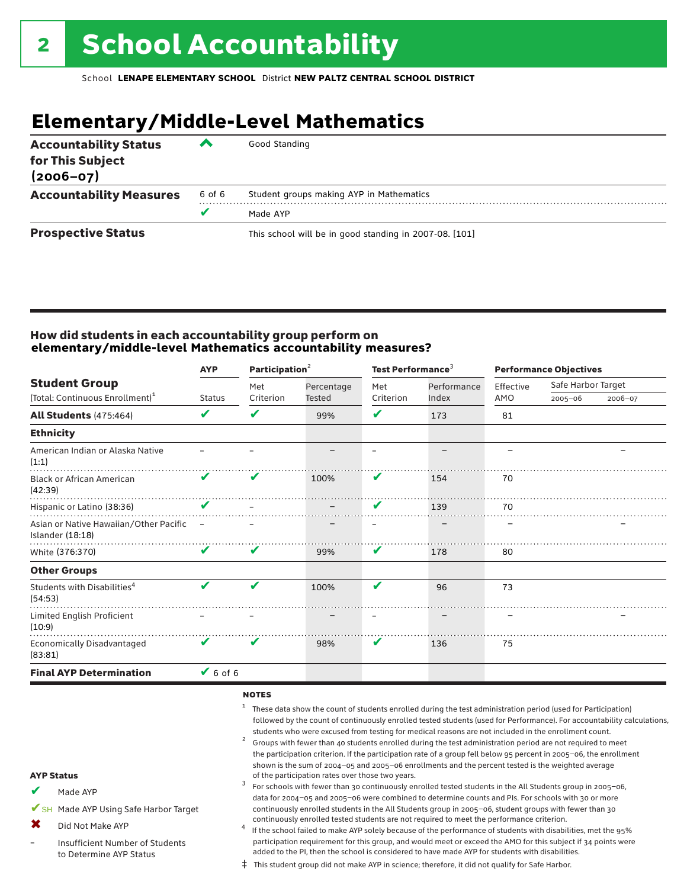## **Elementary/Middle-Level Mathematics**

| <b>Accountability Status</b><br>for This Subject<br>$(2006 - 07)$ | ▰      | Good Standing                                          |
|-------------------------------------------------------------------|--------|--------------------------------------------------------|
| <b>Accountability Measures</b>                                    | 6 of 6 | Student groups making AYP in Mathematics               |
|                                                                   |        | Made AYP                                               |
| <b>Prospective Status</b>                                         |        | This school will be in good standing in 2007-08. [101] |

#### How did students in each accountability group perform on **elementary/middle-level Mathematics accountability measures?**

|                                                            | <b>AYP</b>               |           | Participation <sup>2</sup> |           | Test Performance <sup>3</sup> | <b>Performance Objectives</b> |                    |         |  |
|------------------------------------------------------------|--------------------------|-----------|----------------------------|-----------|-------------------------------|-------------------------------|--------------------|---------|--|
| <b>Student Group</b>                                       |                          | Met       | Percentage                 | Met       | Performance                   | Effective                     | Safe Harbor Target |         |  |
| (Total: Continuous Enrollment) <sup>1</sup>                | <b>Status</b>            | Criterion | Tested                     | Criterion | Index                         | AMO                           | $2005 - 06$        | 2006-07 |  |
| <b>All Students (475:464)</b>                              | V                        | V         | 99%                        | ✔         | 173                           | 81                            |                    |         |  |
| <b>Ethnicity</b>                                           |                          |           |                            |           |                               |                               |                    |         |  |
| American Indian or Alaska Native<br>(1:1)                  |                          |           |                            |           |                               |                               |                    |         |  |
| <b>Black or African American</b><br>(42:39)                | V                        | V         | 100%                       | V         | 154                           | 70                            |                    |         |  |
| Hispanic or Latino (38:36)                                 | V                        |           |                            | V         | 139                           | 70                            |                    |         |  |
| Asian or Native Hawaiian/Other Pacific<br>Islander (18:18) | $\overline{\phantom{0}}$ |           |                            |           |                               |                               |                    |         |  |
| White (376:370)                                            | V                        | V         | 99%                        | V         | 178                           | 80                            |                    |         |  |
| <b>Other Groups</b>                                        |                          |           |                            |           |                               |                               |                    |         |  |
| Students with Disabilities <sup>4</sup><br>(54:53)         | V                        | ✔         | 100%                       | V         | 96                            | 73                            |                    |         |  |
| Limited English Proficient<br>(10:9)                       |                          |           |                            |           |                               |                               |                    |         |  |
| <b>Economically Disadvantaged</b><br>(83:81)               | V                        | V         | 98%                        | V         | 136                           | 75                            |                    |         |  |
| <b>Final AYP Determination</b>                             | $6$ of 6                 |           |                            |           |                               |                               |                    |         |  |
|                                                            |                          |           |                            |           |                               |                               |                    |         |  |

#### notes

- <sup>1</sup> These data show the count of students enrolled during the test administration period (used for Participation) followed by the count of continuously enrolled tested students (used for Performance). For accountability calculations,
- students who were excused from testing for medical reasons are not included in the enrollment count.<br><sup>2</sup> Groups with fewer than 40 students enrolled during the test administration period are not required to meet the participation criterion. If the participation rate of a group fell below 95 percent in 2005–06, the enrollment shown is the sum of 2004–05 and 2005–06 enrollments and the percent tested is the weighted average<br>of the participation rates over those two years. of the participation rates over those two years. <sup>3</sup> For schools with fewer than 30 continuously enrolled tested students in the All Students group in 2005–06,

AYP Status Made AYP ✔

✔SH Made AYP Using Safe Harbor Target

Did Not Make AYP ✖

Insufficient Number of Students to Determine AYP Status –

continuously enrolled tested students are not required to meet the performance criterion.<br>If the school failed to make AYP solely because of the performance of students with disabilities, met the 95% participation requirement for this group, and would meet or exceed the AMO for this subject if 34 points were added to the PI, then the school is considered to have made AYP for students with disabilities.

data for 2004–05 and 2005–06 were combined to determine counts and PIs. For schools with 30 or more continuously enrolled students in the All Students group in 2005–06, student groups with fewer than 30

‡ This student group did not make AYP in science; therefore, it did not qualify for Safe Harbor.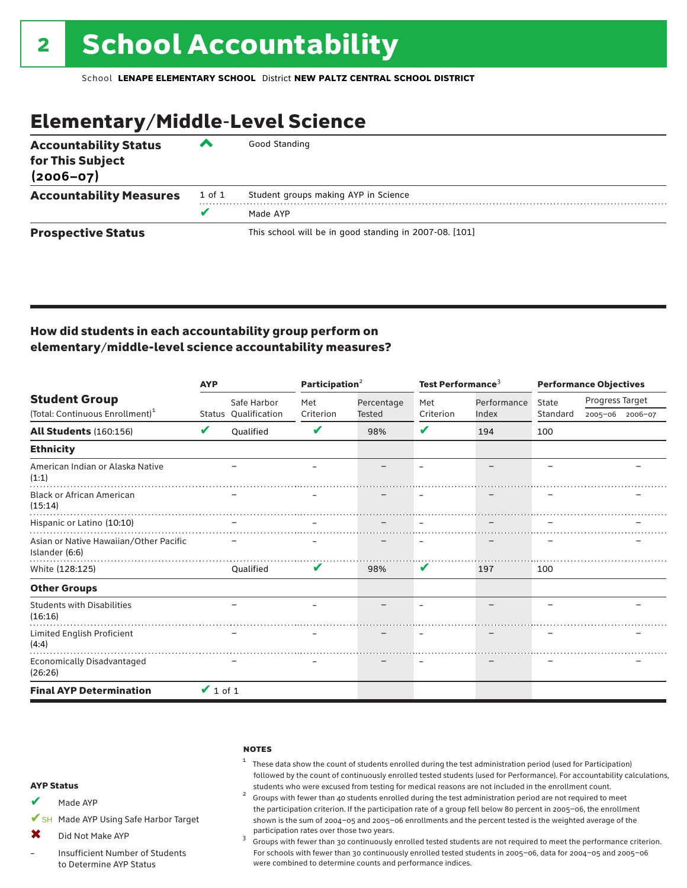### Elementary/Middle-Level Science

| <b>Accountability Status</b><br>for This Subject<br>$(2006 - 07)$ | ▞      | Good Standing                                          |
|-------------------------------------------------------------------|--------|--------------------------------------------------------|
| <b>Accountability Measures</b>                                    | 1 of 1 | Student groups making AYP in Science                   |
|                                                                   | v      | Made AYP                                               |
| <b>Prospective Status</b>                                         |        | This school will be in good standing in 2007-08. [101] |

### How did students in each accountability group perform on elementary/middle-level science accountability measures?

|                                                          | <b>AYP</b>    |                                     | Participation <sup>2</sup> |            | Test Performance <sup>3</sup> |             | <b>Performance Objectives</b> |                 |  |
|----------------------------------------------------------|---------------|-------------------------------------|----------------------------|------------|-------------------------------|-------------|-------------------------------|-----------------|--|
| <b>Student Group</b>                                     |               | Safe Harbor<br>Status Qualification | Met                        | Percentage | Met                           | Performance | State                         | Progress Target |  |
| (Total: Continuous Enrollment) <sup>1</sup>              |               |                                     | Criterion                  | Tested     | Criterion                     | Index       | Standard                      | 2005-06 2006-07 |  |
| <b>All Students (160:156)</b>                            | V             | Oualified                           | V                          | 98%        | V                             | 194         | 100                           |                 |  |
| <b>Ethnicity</b>                                         |               |                                     |                            |            |                               |             |                               |                 |  |
| American Indian or Alaska Native<br>(1:1)                |               |                                     |                            |            |                               |             |                               |                 |  |
| <b>Black or African American</b><br>(15:14)              |               |                                     |                            |            |                               |             |                               |                 |  |
| Hispanic or Latino (10:10)                               |               |                                     |                            |            |                               |             |                               |                 |  |
| Asian or Native Hawaiian/Other Pacific<br>Islander (6:6) |               |                                     |                            |            |                               |             |                               |                 |  |
| White (128:125)                                          |               | Oualified                           | V                          | 98%        | V                             | 197         | 100                           |                 |  |
| <b>Other Groups</b>                                      |               |                                     |                            |            |                               |             |                               |                 |  |
| <b>Students with Disabilities</b><br>(16:16)             |               |                                     |                            |            |                               |             |                               |                 |  |
| Limited English Proficient<br>(4:4)                      |               |                                     |                            |            |                               |             |                               |                 |  |
| Economically Disadvantaged<br>(26:26)                    |               |                                     |                            |            |                               |             |                               |                 |  |
| <b>Final AYP Determination</b>                           | $\vee$ 1 of 1 |                                     |                            |            |                               |             |                               |                 |  |

#### **NOTES**

### $1$  These data show the count of students enrolled during the test administration period (used for Participation) followed by the count of continuously enrolled tested students (used for Performance). For accountability calculations,

students who were excused from testing for medical reasons are not included in the enrollment count. <sup>2</sup> Groups with fewer than <sup>40</sup> students enrolled during the test administration period are not required to meet the participation criterion. If the participation rate of a group fell below 80 percent in 2005–06, the enrollment shown is the sum of 2004–05 and 2005–06 enrollments and the percent tested is the weighted average of the

participation rates over those two years.<br><sup>3</sup> Groups with fewer than 30 continuously enrolled tested students are not required to meet the performance criterion. For schools with fewer than 30 continuously enrolled tested students in 2005–06, data for 2004–05 and 2005–06 were combined to determine counts and performance indices.

#### AYP Status

- Made AYP ✔
- ✔SH Made AYP Using Safe Harbor Target
- Did Not Make AYP  $\mathbf x$
- Insufficient Number of Students to Determine AYP Status –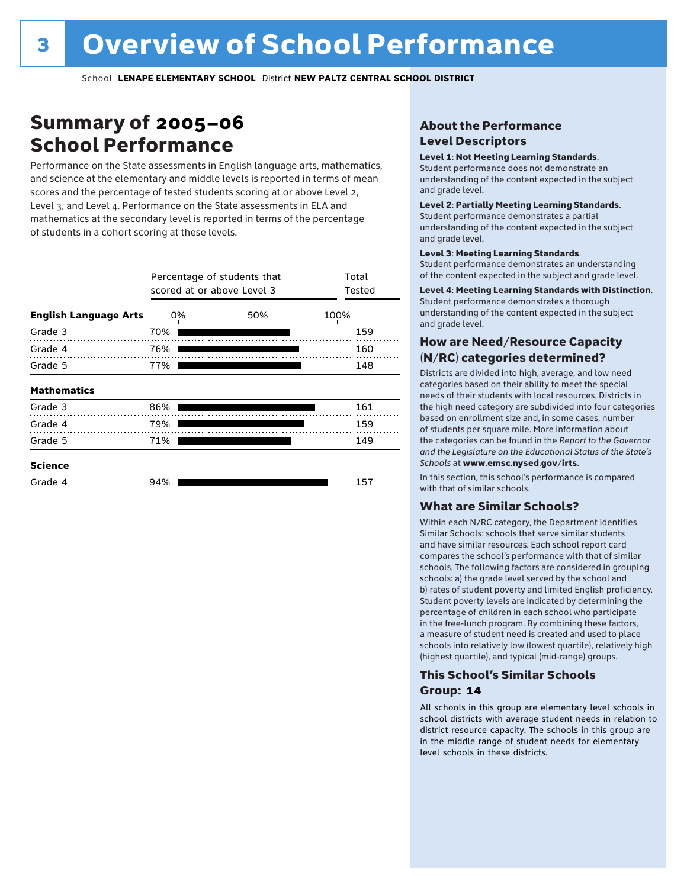### Summary of 2005–06 School Performance

Performance on the State assessments in English language arts, mathematics, and science at the elementary and middle levels is reported in terms of mean scores and the percentage of tested students scoring at or above Level 2, Level 3, and Level 4. Performance on the State assessments in ELA and mathematics at the secondary level is reported in terms of the percentage of students in a cohort scoring at these levels.

|                              |     | Percentage of students that<br>scored at or above Level 3 |      |  |  |  |  |  |
|------------------------------|-----|-----------------------------------------------------------|------|--|--|--|--|--|
| <b>English Language Arts</b> | 0%  | 50%                                                       | 100% |  |  |  |  |  |
| Grade 3                      | 70% |                                                           | 159  |  |  |  |  |  |
| Grade 4                      | 76% |                                                           | 160  |  |  |  |  |  |
| Grade 5                      | 77% |                                                           | 148  |  |  |  |  |  |
| <b>Mathematics</b>           |     |                                                           |      |  |  |  |  |  |
| Grade 3                      | 86% |                                                           | 161  |  |  |  |  |  |
| Grade 4                      | 79% |                                                           | 159  |  |  |  |  |  |
| Grade 5                      | 71% |                                                           | 149  |  |  |  |  |  |
| <b>Science</b>               |     |                                                           |      |  |  |  |  |  |
| Grade 4                      | 94% |                                                           | 157  |  |  |  |  |  |

### About the Performance Level Descriptors

#### Level 1: Not Meeting Learning Standards.

Student performance does not demonstrate an understanding of the content expected in the subject and grade level.

#### Level 2: Partially Meeting Learning Standards.

Student performance demonstrates a partial understanding of the content expected in the subject and grade level.

#### Level 3: Meeting Learning Standards.

Student performance demonstrates an understanding of the content expected in the subject and grade level.

#### Level 4: Meeting Learning Standards with Distinction.

Student performance demonstrates a thorough understanding of the content expected in the subject and grade level.

#### How are Need/Resource Capacity (N/RC) categories determined?

Districts are divided into high, average, and low need categories based on their ability to meet the special needs of their students with local resources. Districts in the high need category are subdivided into four categories based on enrollment size and, in some cases, number of students per square mile. More information about the categories can be found in the *Report to the Governor and the Legislature on the Educational Status of the State's Schools* at www.emsc.nysed.gov/irts.

In this section, this school's performance is compared with that of similar schools.

#### What are Similar Schools?

Within each N/RC category, the Department identifies Similar Schools: schools that serve similar students and have similar resources. Each school report card compares the school's performance with that of similar schools. The following factors are considered in grouping schools: a) the grade level served by the school and b) rates of student poverty and limited English proficiency. Student poverty levels are indicated by determining the percentage of children in each school who participate in the free-lunch program. By combining these factors, a measure of student need is created and used to place schools into relatively low (lowest quartile), relatively high (highest quartile), and typical (mid-range) groups.

#### This School's Similar Schools Group: **14**

All schools in this group are elementary level schools in school districts with average student needs in relation to district resource capacity. The schools in this group are in the middle range of student needs for elementary level schools in these districts.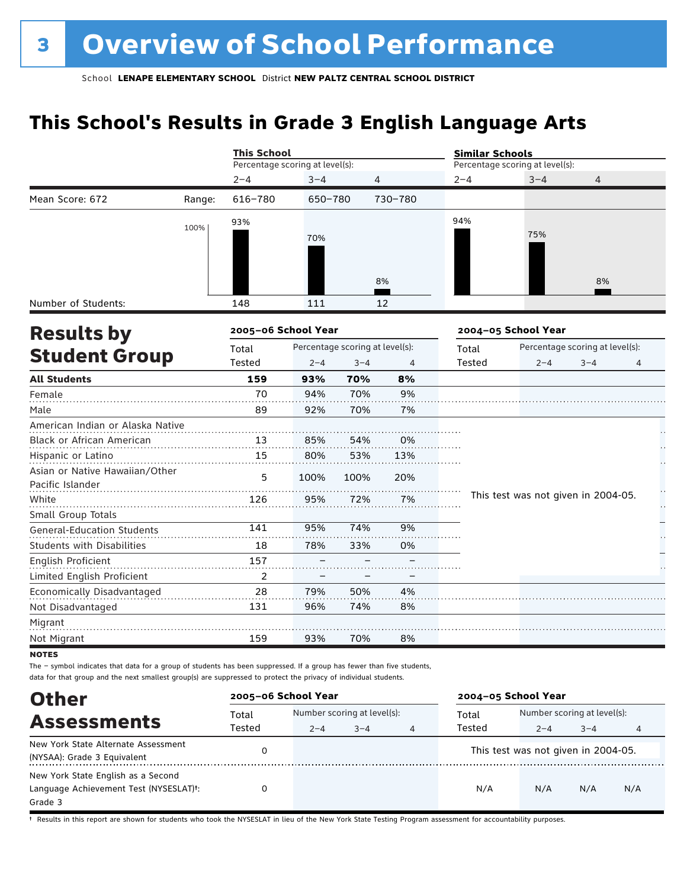### **This School's Results in Grade 3 English Language Arts**

|                                   |        | <b>This School</b>              |         |                                 |                | <b>Similar Schools</b> |                                     |                                 |   |
|-----------------------------------|--------|---------------------------------|---------|---------------------------------|----------------|------------------------|-------------------------------------|---------------------------------|---|
|                                   |        | Percentage scoring at level(s): |         |                                 |                |                        | Percentage scoring at level(s):     |                                 |   |
|                                   |        | $2 - 4$                         | $3 - 4$ | 4                               |                | $2 - 4$                | $3 - 4$                             | 4                               |   |
| Mean Score: 672                   | Range: | 616-780                         | 650-780 |                                 | 730-780        |                        |                                     |                                 |   |
|                                   |        | 93%                             |         |                                 |                | 94%                    |                                     |                                 |   |
|                                   | 100%   |                                 | 70%     |                                 |                |                        | 75%                                 |                                 |   |
|                                   |        |                                 |         |                                 |                |                        |                                     |                                 |   |
|                                   |        |                                 |         |                                 |                |                        |                                     |                                 |   |
|                                   |        |                                 |         |                                 | 8%             |                        |                                     | 8%                              |   |
| Number of Students:               |        | 148                             | 111     |                                 | 12             |                        |                                     |                                 |   |
| <b>Results by</b>                 |        | 2005-06 School Year             |         |                                 |                |                        | 2004-05 School Year                 |                                 |   |
|                                   |        | Total                           |         | Percentage scoring at level(s): |                | Total                  |                                     | Percentage scoring at level(s): |   |
| <b>Student Group</b>              |        | Tested                          | $2 - 4$ | $3 - 4$                         | $\overline{4}$ | Tested                 | $2 - 4$                             | $3 - 4$                         | 4 |
| <b>All Students</b>               |        | 159                             | 93%     | 70%                             | 8%             |                        |                                     |                                 |   |
| Female                            |        | 70                              | 94%     | 70%                             | 9%             |                        |                                     |                                 |   |
| Male                              |        | 89                              | 92%     | 70%                             | 7%             |                        |                                     |                                 |   |
| American Indian or Alaska Native  |        |                                 |         |                                 |                |                        |                                     |                                 |   |
| <b>Black or African American</b>  |        | 13                              | 85%     | 54%                             | 0%             |                        |                                     |                                 |   |
| Hispanic or Latino                |        | 15                              | 80%     | 53%                             | 13%            |                        |                                     |                                 |   |
| Asian or Native Hawaiian/Other    |        | 5                               | 100%    | 100%                            | 20%            |                        |                                     |                                 |   |
| Pacific Islander                  |        |                                 |         |                                 |                |                        |                                     |                                 | H |
| White                             |        | 126                             | 95%     | 72%                             | 7%             |                        | This test was not given in 2004-05. |                                 | Н |
| Small Group Totals                |        |                                 |         |                                 |                |                        |                                     |                                 |   |
| <b>General-Education Students</b> |        | 141                             | 95%     | 74%                             | 9%             |                        |                                     |                                 |   |
| <b>Students with Disabilities</b> |        | 18                              | 78%     | 33%                             | 0%             |                        |                                     |                                 |   |
| English Proficient                |        | 157                             |         |                                 |                |                        |                                     |                                 |   |
| Limited English Proficient        |        | $\overline{2}$                  |         |                                 |                |                        |                                     |                                 |   |
| Economically Disadvantaged        |        | 28                              | 79%     | 50%                             | 4%             |                        |                                     |                                 |   |
| Not Disadvantaged                 |        | 131                             | 96%     | 74%                             | 8%             |                        |                                     |                                 |   |
| Migrant                           |        |                                 |         |                                 |                |                        |                                     |                                 |   |
| Not Migrant                       |        | 159                             | 93%     | 70%                             | 8%             |                        |                                     |                                 |   |
| <b>NOTES</b>                      |        |                                 |         |                                 |                |                        |                                     |                                 |   |

The – symbol indicates that data for a group of students has been suppressed. If a group has fewer than five students, data for that group and the next smallest group(s) are suppressed to protect the privacy of individual students.

| <b>Other</b>                                                                                         | 2005-06 School Year |                                                        |  |  | 2004-05 School Year |                                        |         |     |
|------------------------------------------------------------------------------------------------------|---------------------|--------------------------------------------------------|--|--|---------------------|----------------------------------------|---------|-----|
| <b>Assessments</b>                                                                                   | Total<br>Tested     | Number scoring at level(s):<br>$2 - 4$<br>$3 - 4$<br>4 |  |  | Total<br>Tested     | Number scoring at level(s):<br>$2 - 4$ | $3 - 4$ | 4   |
| New York State Alternate Assessment<br>(NYSAA): Grade 3 Equivalent                                   |                     |                                                        |  |  |                     | This test was not given in 2004-05.    |         |     |
| New York State English as a Second<br>Language Achievement Test (NYSESLAT) <sup>+</sup> :<br>Grade 3 |                     |                                                        |  |  | N/A                 | N/A                                    | N/A     | N/A |

† Results in this report are shown for students who took the NYSESLAT in lieu of the New York State Testing Program assessment for accountability purposes.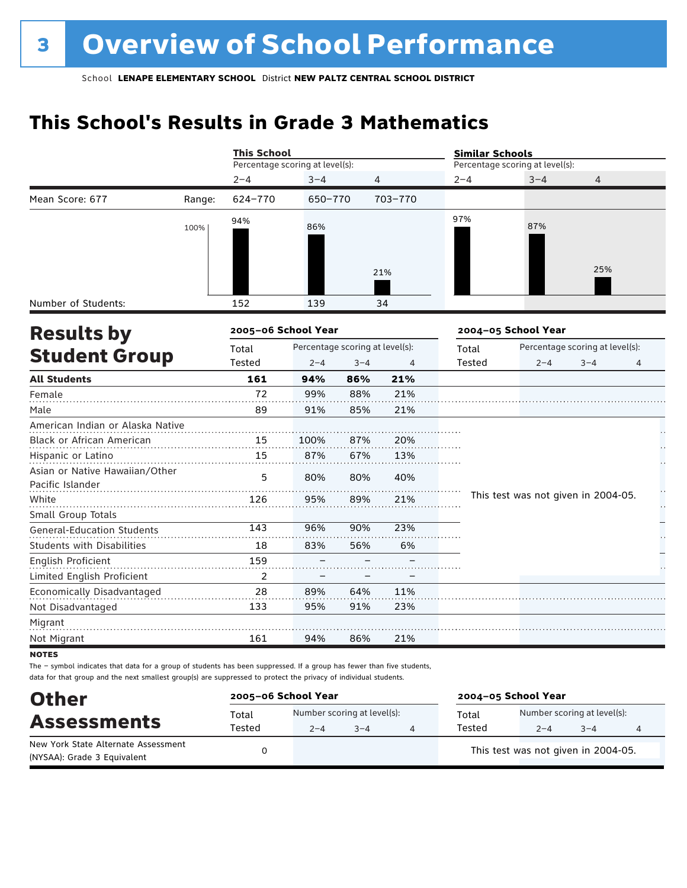### **This School's Results in Grade 3 Mathematics**

|                                                    |        | <b>This School</b>              |                                 |         |         | <b>Similar Schools</b> |                                     |                                 |   |  |
|----------------------------------------------------|--------|---------------------------------|---------------------------------|---------|---------|------------------------|-------------------------------------|---------------------------------|---|--|
|                                                    |        | Percentage scoring at level(s): |                                 |         |         |                        | Percentage scoring at level(s):     |                                 |   |  |
|                                                    |        | $2 - 4$                         | $3 - 4$                         |         | 4       | $2 - 4$                | $3 - 4$                             | 4                               |   |  |
| Mean Score: 677                                    | Range: | 624-770                         | 650-770                         |         | 703-770 |                        |                                     |                                 |   |  |
|                                                    | 100%   | 94%                             | 86%                             |         | 21%     | 97%                    | 87%                                 | 25%                             |   |  |
|                                                    |        |                                 |                                 |         |         |                        |                                     |                                 |   |  |
| Number of Students:                                |        | 152                             | 139                             |         | 34      |                        |                                     |                                 |   |  |
| <b>Results by</b>                                  |        | 2005-06 School Year             |                                 |         |         |                        | 2004-05 School Year                 |                                 |   |  |
|                                                    |        | Total                           | Percentage scoring at level(s): |         |         | Total                  |                                     | Percentage scoring at level(s): |   |  |
| <b>Student Group</b>                               |        | <b>Tested</b>                   | $2 - 4$                         | $3 - 4$ | 4       | <b>Tested</b>          | $2 - 4$                             | $3 - 4$                         | 4 |  |
| <b>All Students</b>                                |        | 161                             | 94%                             | 86%     | 21%     |                        |                                     |                                 |   |  |
| Female                                             |        | 72                              | 99%                             | 88%     | 21%     |                        |                                     |                                 |   |  |
| Male                                               |        | 89                              | 91%                             | 85%     | 21%     |                        |                                     |                                 |   |  |
| American Indian or Alaska Native                   |        |                                 |                                 |         |         |                        |                                     |                                 |   |  |
| Black or African American                          |        | 15                              | 100%                            | 87%     | 20%     |                        |                                     |                                 |   |  |
| Hispanic or Latino                                 |        | 15                              | 87%                             | 67%     | 13%     |                        |                                     |                                 |   |  |
| Asian or Native Hawaiian/Other<br>Pacific Islander |        | 5                               | 80%                             | 80%     | 40%     |                        |                                     |                                 |   |  |
| White                                              |        | 126                             | 95%                             | 89%     | 21%     |                        | This test was not given in 2004-05. |                                 |   |  |
| Small Group Totals                                 |        |                                 |                                 |         |         |                        |                                     |                                 |   |  |
| <b>General-Education Students</b>                  |        | 143                             | 96%                             | 90%     | 23%     |                        |                                     |                                 |   |  |
| <b>Students with Disabilities</b>                  |        | 18                              | 83%                             | 56%     | 6%      |                        |                                     |                                 |   |  |
| English Proficient                                 |        | 159                             |                                 |         |         |                        |                                     |                                 |   |  |
| Limited English Proficient                         |        | 2                               |                                 |         |         |                        |                                     |                                 |   |  |
| Economically Disadvantaged                         |        | 28                              | 89%                             | 64%     | 11%     |                        |                                     |                                 |   |  |
| Not Disadvantaged                                  |        | 133                             | 95%                             | 91%     | 23%     |                        |                                     |                                 |   |  |
| Migrant                                            |        |                                 |                                 |         |         |                        |                                     |                                 |   |  |
| Not Migrant                                        |        | 161                             | 94%                             | 86%     | 21%     |                        |                                     |                                 |   |  |
|                                                    |        |                                 |                                 |         |         |                        |                                     |                                 |   |  |

**NOTES** 

The – symbol indicates that data for a group of students has been suppressed. If a group has fewer than five students, data for that group and the next smallest group(s) are suppressed to protect the privacy of individual students.

| <b>Other</b>                                                       | 2005-06 School Year |         |                                        | 2004-05 School Year |                                        |         |  |  |
|--------------------------------------------------------------------|---------------------|---------|----------------------------------------|---------------------|----------------------------------------|---------|--|--|
| <b>Assessments</b>                                                 | Total<br>Tested     | $2 - 4$ | Number scoring at level(s):<br>$3 - 4$ | Total<br>Tested     | Number scoring at level(s):<br>$2 - 4$ | $3 - 4$ |  |  |
| New York State Alternate Assessment<br>(NYSAA): Grade 3 Equivalent |                     |         |                                        |                     | This test was not given in 2004-05.    |         |  |  |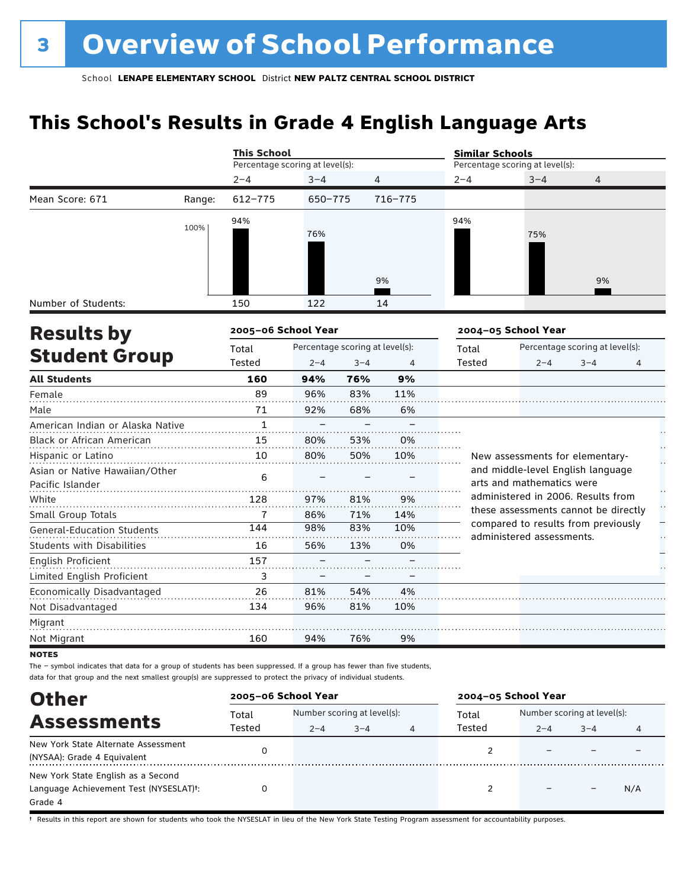### **This School's Results in Grade 4 English Language Arts**

|                                                                                                                                                                                                                                                                                                                                                                    |        | <b>This School</b>              |         |                                 |                | <b>Similar Schools</b> |                                 |                                      |  |  |  |
|--------------------------------------------------------------------------------------------------------------------------------------------------------------------------------------------------------------------------------------------------------------------------------------------------------------------------------------------------------------------|--------|---------------------------------|---------|---------------------------------|----------------|------------------------|---------------------------------|--------------------------------------|--|--|--|
|                                                                                                                                                                                                                                                                                                                                                                    |        | Percentage scoring at level(s): |         |                                 |                |                        | Percentage scoring at level(s): |                                      |  |  |  |
|                                                                                                                                                                                                                                                                                                                                                                    |        | $2 - 4$                         | $3 - 4$ | 4                               |                | $2 - 4$                | $3 - 4$<br>4                    |                                      |  |  |  |
| Mean Score: 671                                                                                                                                                                                                                                                                                                                                                    | Range: | $612 - 775$                     | 650-775 |                                 | 716-775        |                        |                                 |                                      |  |  |  |
|                                                                                                                                                                                                                                                                                                                                                                    | 100%   | 94%                             | 76%     |                                 |                | 94%                    | 75%                             |                                      |  |  |  |
|                                                                                                                                                                                                                                                                                                                                                                    |        |                                 |         |                                 | 9%             |                        |                                 | 9%                                   |  |  |  |
| Number of Students:                                                                                                                                                                                                                                                                                                                                                |        | 150                             | 122     |                                 | 14             |                        |                                 |                                      |  |  |  |
|                                                                                                                                                                                                                                                                                                                                                                    |        | 2005-06 School Year             |         |                                 |                |                        | 2004-05 School Year             |                                      |  |  |  |
| <b>Results by</b><br><b>Student Group</b><br><b>All Students</b><br>Female<br>Male<br><b>Black or African American</b><br>Hispanic or Latino<br>Pacific Islander<br>White<br>Small Group Totals<br><b>General-Education Students</b><br><b>Students with Disabilities</b><br><b>English Proficient</b><br>Limited English Proficient<br>Economically Disadvantaged |        | Total                           |         | Percentage scoring at level(s): |                | Total                  | Percentage scoring at level(s): |                                      |  |  |  |
|                                                                                                                                                                                                                                                                                                                                                                    |        | Tested                          | $2 - 4$ | $3 - 4$                         | $\overline{4}$ | Tested                 | $2 - 4$                         | $3 - 4$<br>4                         |  |  |  |
|                                                                                                                                                                                                                                                                                                                                                                    |        | 160                             | 94%     | 76%                             | 9%             |                        |                                 |                                      |  |  |  |
|                                                                                                                                                                                                                                                                                                                                                                    |        | 89                              | 96%     | 83%                             | 11%            |                        |                                 |                                      |  |  |  |
|                                                                                                                                                                                                                                                                                                                                                                    |        | 71                              | 92%     | 68%                             | 6%             |                        |                                 |                                      |  |  |  |
| American Indian or Alaska Native                                                                                                                                                                                                                                                                                                                                   |        | $\mathbf{1}$                    |         |                                 |                |                        |                                 |                                      |  |  |  |
|                                                                                                                                                                                                                                                                                                                                                                    |        | 15                              | 80%     | 53%                             | 0%             |                        |                                 |                                      |  |  |  |
|                                                                                                                                                                                                                                                                                                                                                                    |        | 10                              | 80%     | 50%                             | 10%            |                        |                                 | New assessments for elementary-      |  |  |  |
| Asian or Native Hawaiian/Other                                                                                                                                                                                                                                                                                                                                     |        | 6                               |         |                                 |                |                        | arts and mathematics were       | and middle-level English language    |  |  |  |
|                                                                                                                                                                                                                                                                                                                                                                    |        | 128                             | 97%     | 81%                             | 9%             |                        |                                 | administered in 2006. Results from   |  |  |  |
|                                                                                                                                                                                                                                                                                                                                                                    |        | 7                               | 86%     | 71%                             | 14%            |                        |                                 | these assessments cannot be directly |  |  |  |
|                                                                                                                                                                                                                                                                                                                                                                    |        | 144                             | 98%     | 83%                             | 10%            |                        | administered assessments.       | compared to results from previously  |  |  |  |
|                                                                                                                                                                                                                                                                                                                                                                    |        | 16                              | 56%     | 13%                             | 0%             |                        |                                 |                                      |  |  |  |
|                                                                                                                                                                                                                                                                                                                                                                    |        | 157                             |         |                                 |                |                        |                                 |                                      |  |  |  |
|                                                                                                                                                                                                                                                                                                                                                                    |        | 3                               |         |                                 |                |                        |                                 |                                      |  |  |  |
|                                                                                                                                                                                                                                                                                                                                                                    |        | 26                              | 81%     | 54%                             | 4%             |                        |                                 |                                      |  |  |  |

Migrant

Not Disadvantaged

Not Migrant

**NOTES** 

The – symbol indicates that data for a group of students has been suppressed. If a group has fewer than five students, data for that group and the next smallest group(s) are suppressed to protect the privacy of individual students.

134

96%

94%

. . . . . . .

160

. . . . . . . . .

| <b>Other</b>                                        | 2005-06 School Year |         |                             |  | 2004-05 School Year |                             |         |     |
|-----------------------------------------------------|---------------------|---------|-----------------------------|--|---------------------|-----------------------------|---------|-----|
|                                                     | Total               |         | Number scoring at level(s): |  |                     | Number scoring at level(s): |         |     |
| <b>Assessments</b>                                  | Tested              | $2 - 4$ | $3 - 4$                     |  | Tested              | $2 - 4$                     | $3 - 4$ | 4   |
| New York State Alternate Assessment                 |                     |         |                             |  |                     |                             |         |     |
| (NYSAA): Grade 4 Equivalent                         |                     |         |                             |  |                     |                             |         |     |
| New York State English as a Second                  |                     |         |                             |  |                     |                             |         |     |
| Language Achievement Test (NYSESLAT) <sup>+</sup> : |                     |         |                             |  |                     |                             |         | N/A |
| Grade 4                                             |                     |         |                             |  |                     |                             |         |     |

81%

10%

9%

76%

. . . . . . . .

† Results in this report are shown for students who took the NYSESLAT in lieu of the New York State Testing Program assessment for accountability purposes.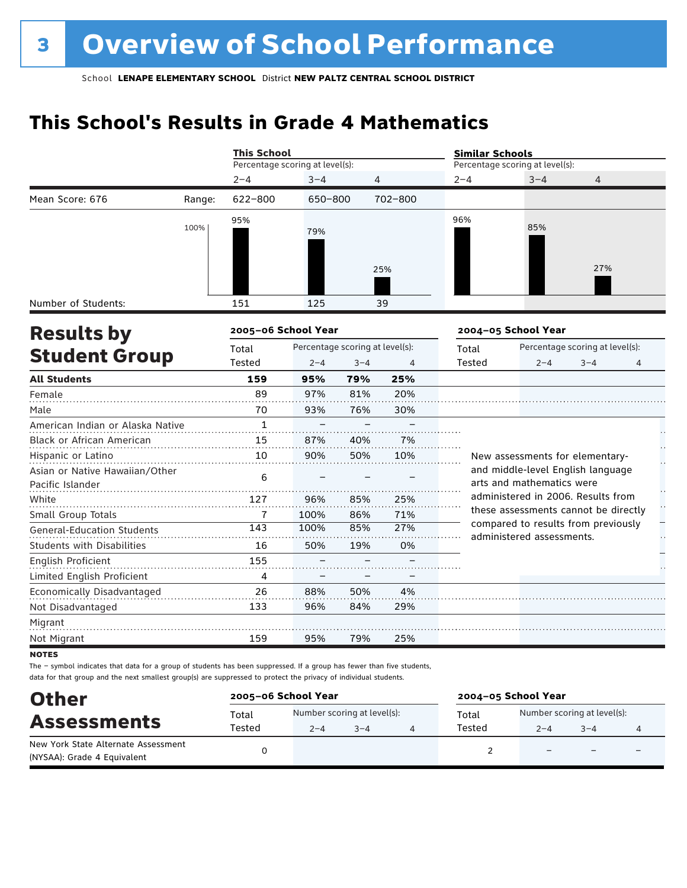### **This School's Results in Grade 4 Mathematics**

|                                                    |        | <b>This School</b>              |                                 |         |         | <b>Similar Schools</b> |                                                                  |                                 |   |
|----------------------------------------------------|--------|---------------------------------|---------------------------------|---------|---------|------------------------|------------------------------------------------------------------|---------------------------------|---|
|                                                    |        | Percentage scoring at level(s): |                                 |         |         |                        | Percentage scoring at level(s):                                  |                                 |   |
|                                                    |        | $2 - 4$                         | $3 - 4$                         | 4       |         | $2 - 4$                | $3 - 4$                                                          | 4                               |   |
| Mean Score: 676                                    | Range: | 622-800                         | 650-800                         |         | 702-800 |                        |                                                                  |                                 |   |
|                                                    | 100%   | 95%                             | 79%                             |         | 25%     | 96%                    | 85%                                                              | 27%                             |   |
| Number of Students:                                |        | 151                             | 125                             |         | 39      |                        |                                                                  |                                 |   |
| <b>Results by</b>                                  |        | 2005-06 School Year             |                                 |         |         |                        | 2004-05 School Year                                              |                                 |   |
|                                                    |        | Total                           | Percentage scoring at level(s): |         |         | Total                  |                                                                  | Percentage scoring at level(s): |   |
| <b>Student Group</b>                               |        | Tested                          | $2 - 4$                         | $3 - 4$ | 4       | <b>Tested</b>          | $2 - 4$                                                          | $3 - 4$                         | 4 |
| <b>All Students</b>                                |        | 159                             | 95%                             | 79%     | 25%     |                        |                                                                  |                                 |   |
| Female                                             |        | 89                              | 97%                             | 81%     | 20%     |                        |                                                                  |                                 |   |
| Male                                               |        | 70                              | 93%                             | 76%     | 30%     |                        |                                                                  |                                 |   |
| American Indian or Alaska Native                   |        | $\mathbf{1}$                    |                                 |         |         |                        |                                                                  |                                 |   |
| Black or African American                          |        | 15                              | 87%                             | 40%     | 7%      |                        |                                                                  |                                 |   |
| Hispanic or Latino                                 |        | 10                              | 90%                             | 50%     | 10%     |                        | New assessments for elementary-                                  |                                 |   |
| Asian or Native Hawaiian/Other<br>Pacific Islander |        | 6                               |                                 |         |         |                        | and middle-level English language<br>arts and mathematics were   |                                 |   |
| White                                              |        | 127                             | 96%                             | 85%     | 25%     |                        | administered in 2006. Results from                               |                                 |   |
| Small Group Totals                                 |        | 7                               | 100%                            | 86%     | 71%     |                        | these assessments cannot be directly                             |                                 | H |
| <b>General-Education Students</b>                  |        | 143                             | 100%                            | 85%     | 27%     |                        | compared to results from previously<br>administered assessments. |                                 |   |
| <b>Students with Disabilities</b>                  |        | 16                              | 50%                             | 19%     | 0%      |                        |                                                                  |                                 |   |
| English Proficient                                 |        | 155                             |                                 |         |         |                        |                                                                  |                                 |   |
| Limited English Proficient                         |        | 4                               |                                 |         |         |                        |                                                                  |                                 |   |
| Economically Disadvantaged                         |        | 26                              | 88%                             | 50%     | 4%      |                        |                                                                  |                                 |   |
| Not Disadvantaged                                  |        | 133                             | 96%                             | 84%     | 29%     |                        |                                                                  |                                 |   |
| Migrant                                            |        |                                 |                                 |         |         |                        |                                                                  |                                 |   |
| Not Migrant                                        |        | 159                             | 95%                             | 79%     | 25%     |                        |                                                                  |                                 |   |

**NOTES** 

The – symbol indicates that data for a group of students has been suppressed. If a group has fewer than five students, data for that group and the next smallest group(s) are suppressed to protect the privacy of individual students.

| <b>Other</b>                        | 2005-06 School Year |                             |         | 2004-05 School Year |        |                             |                          |                          |
|-------------------------------------|---------------------|-----------------------------|---------|---------------------|--------|-----------------------------|--------------------------|--------------------------|
| <b>Assessments</b>                  | Total               | Number scoring at level(s): |         |                     | Total  | Number scoring at level(s): |                          |                          |
|                                     | Tested              | $2 - 4$                     | $3 - 4$ |                     | Tested | $2 - 4$                     | $3 - 4$                  |                          |
| New York State Alternate Assessment |                     |                             |         |                     |        | $\overline{\phantom{0}}$    | $\overline{\phantom{0}}$ | $\overline{\phantom{0}}$ |
| (NYSAA): Grade 4 Equivalent         |                     |                             |         |                     |        |                             |                          |                          |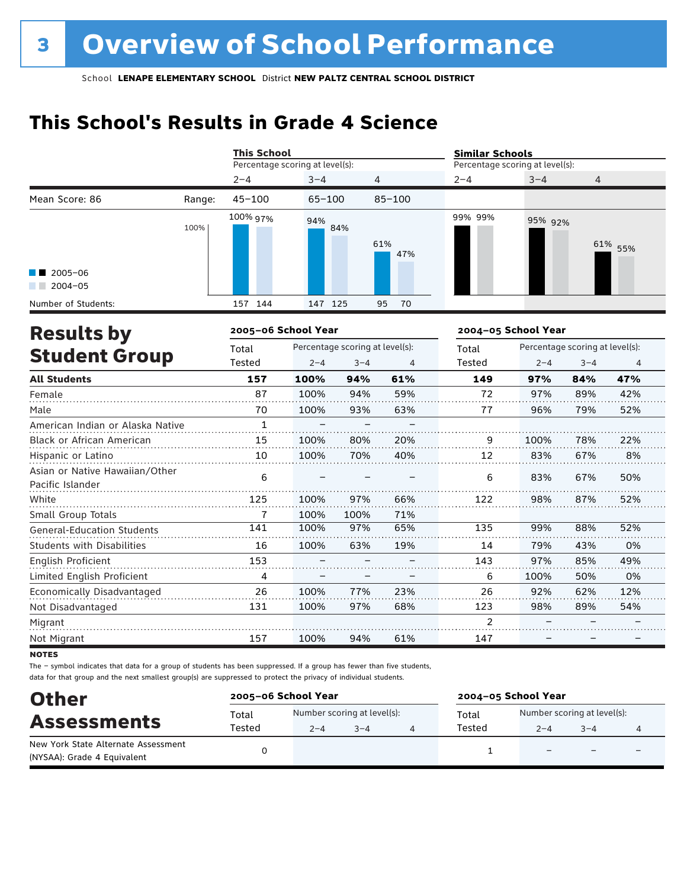### **This School's Results in Grade 4 Science**

|                                       |        | <b>This School</b>  |                                 |                |                                          | <b>Similar Schools</b> |                |  |  |
|---------------------------------------|--------|---------------------|---------------------------------|----------------|------------------------------------------|------------------------|----------------|--|--|
|                                       |        |                     | Percentage scoring at level(s): |                | Percentage scoring at level(s):          |                        |                |  |  |
|                                       |        | $2 - 4$             | $3 - 4$                         | $\overline{4}$ | $2 - 4$                                  | $3 - 4$                | $\overline{4}$ |  |  |
| Mean Score: 86                        | Range: | $45 - 100$          | $65 - 100$                      | $85 - 100$     |                                          |                        |                |  |  |
| $\blacksquare$ 2005-06<br>$2004 - 05$ | 100%   | 100% 97%            | 94%<br>84%                      | 61%<br>47%     | 99% 99%                                  | 95% 92%                | 61% 55%        |  |  |
| Number of Students:                   |        | 144<br>157          | 147 125                         | 95<br>70       |                                          |                        |                |  |  |
| <b>Results by</b>                     |        | 2005-06 School Year |                                 |                | 2004-05 School Year                      |                        |                |  |  |
| ------                                |        | Total               | Percentage scoring at level(s): |                | Percentage scoring at level(s):<br>Total |                        |                |  |  |

|                                   | Total        | Percentage scoring at level(s): |         |     | Total         | Percentage scoring at level(s): |         |                |
|-----------------------------------|--------------|---------------------------------|---------|-----|---------------|---------------------------------|---------|----------------|
| <b>Student Group</b>              | Tested       | $2 - 4$                         | $3 - 4$ | 4   | Tested        | $2 - 4$                         | $3 - 4$ | $\overline{4}$ |
| <b>All Students</b>               | 157          | 100%                            | 94%     | 61% | 149           | 97%                             | 84%     | 47%            |
| Female                            | 87           | 100%                            | 94%     | 59% | 72            | 97%                             | 89%     | 42%            |
| Male                              | 70           | 100%                            | 93%     | 63% | 77            | 96%                             | 79%     | 52%            |
| American Indian or Alaska Native  | $\mathbf{1}$ |                                 |         |     |               |                                 |         |                |
| Black or African American         | 15           | 100%                            | 80%     | 20% | 9             | 100%                            | 78%     | 22%            |
| Hispanic or Latino                | 10           | 100%                            | 70%     | 40% | 12            | 83%                             | 67%     | 8%             |
| Asian or Native Hawaiian/Other    | 6            |                                 |         |     | 6             | 83%                             | 67%     | 50%            |
| Pacific Islander                  |              |                                 |         |     |               |                                 |         |                |
| White                             | 125          | 100%                            | 97%     | 66% | 122           | 98%                             | 87%     | 52%            |
| Small Group Totals                |              | 100%                            | 100%    | 71% |               |                                 |         |                |
| <b>General-Education Students</b> | 141          | 100%                            | 97%     | 65% | 135           | 99%                             | 88%     | 52%            |
| <b>Students with Disabilities</b> | 16           | 100%                            | 63%     | 19% | 14            | 79%                             | 43%     | 0%             |
| English Proficient                | 153          |                                 |         |     | 143           | 97%                             | 85%     | 49%            |
| Limited English Proficient        | 4            |                                 |         |     | 6             | 100%                            | 50%     | 0%             |
| Economically Disadvantaged        | 26           | 100%                            | 77%     | 23% | 26            | 92%                             | 62%     | 12%            |
| Not Disadvantaged                 | 131          | 100%                            | 97%     | 68% | 123           | 98%                             | 89%     | 54%            |
| Migrant                           |              |                                 |         |     | $\mathcal{P}$ |                                 |         |                |
| Not Migrant                       | 157          | 100%                            | 94%     | 61% | 147           |                                 |         |                |

**NOTES** 

The – symbol indicates that data for a group of students has been suppressed. If a group has fewer than five students, data for that group and the next smallest group(s) are suppressed to protect the privacy of individual students.

| <b>Other</b>                                                       | 2005-06 School Year |                                        |         | 2004-05 School Year |                                        |                          |  |  |
|--------------------------------------------------------------------|---------------------|----------------------------------------|---------|---------------------|----------------------------------------|--------------------------|--|--|
| <b>Assessments</b>                                                 | Total<br>Tested     | Number scoring at level(s):<br>$2 - 4$ | $3 - 4$ | Total<br>Tested     | Number scoring at level(s):<br>$2 - 4$ | $3 - 4$                  |  |  |
| New York State Alternate Assessment<br>(NYSAA): Grade 4 Equivalent |                     |                                        |         |                     |                                        | $\overline{\phantom{0}}$ |  |  |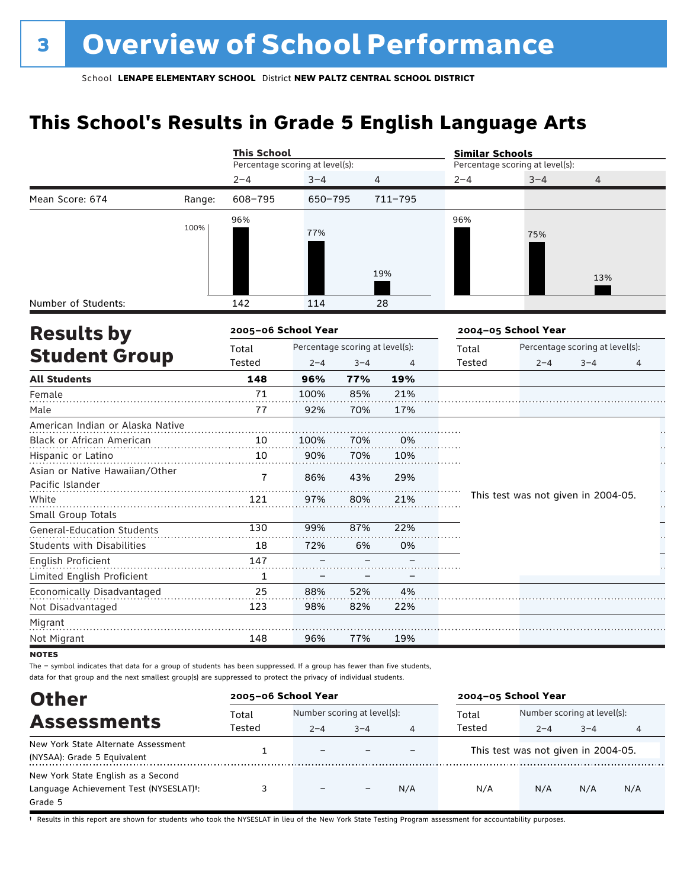### **This School's Results in Grade 5 English Language Arts**

|                                                    |        |                                 | <b>This School</b>              |         |         |         | <b>Similar Schools</b>              |                                 |    |  |  |  |
|----------------------------------------------------|--------|---------------------------------|---------------------------------|---------|---------|---------|-------------------------------------|---------------------------------|----|--|--|--|
|                                                    |        | Percentage scoring at level(s): |                                 |         |         |         | Percentage scoring at level(s):     |                                 |    |  |  |  |
|                                                    |        | $2 - 4$                         | $3 - 4$                         | 4       |         | $2 - 4$ | $3 - 4$                             | 4                               |    |  |  |  |
| Mean Score: 674                                    | Range: | 608-795                         | 650-795                         |         | 711-795 |         |                                     |                                 |    |  |  |  |
|                                                    | 100%   | 96%                             | 77%                             |         | 19%     | 96%     | 75%                                 | 13%                             |    |  |  |  |
| Number of Students:                                |        | 142                             | 114                             |         | 28      |         |                                     |                                 |    |  |  |  |
|                                                    |        |                                 |                                 |         |         |         |                                     |                                 |    |  |  |  |
| <b>Results by</b>                                  |        | 2005-06 School Year             |                                 |         |         |         | 2004-05 School Year                 |                                 |    |  |  |  |
|                                                    |        | Total                           | Percentage scoring at level(s): |         |         | Total   |                                     | Percentage scoring at level(s): |    |  |  |  |
| <b>Student Group</b>                               |        | Tested                          | $2 - 4$                         | $3 - 4$ | 4       | Tested  | $2 - 4$                             | $3 - 4$                         | 4  |  |  |  |
| <b>All Students</b>                                |        | 148                             | 96%                             | 77%     | 19%     |         |                                     |                                 |    |  |  |  |
| Female                                             |        | 71                              | 100%                            | 85%     | 21%     |         |                                     |                                 |    |  |  |  |
| Male                                               |        | 77                              | 92%                             | 70%     | 17%     |         |                                     |                                 |    |  |  |  |
| American Indian or Alaska Native                   |        |                                 |                                 |         |         |         |                                     |                                 |    |  |  |  |
| <b>Black or African American</b>                   |        | 10                              | 100%                            | 70%     | 0%      |         |                                     |                                 |    |  |  |  |
| Hispanic or Latino                                 |        | 10                              | 90%                             | 70%     | 10%     |         |                                     |                                 |    |  |  |  |
| Asian or Native Hawaiian/Other<br>Pacific Islander |        | $\overline{7}$                  | 86%                             | 43%     | 29%     |         |                                     |                                 |    |  |  |  |
| White                                              |        | 121                             | 97%                             | 80%     | 21%     |         | This test was not given in 2004-05. |                                 | H  |  |  |  |
| Small Group Totals                                 |        |                                 |                                 |         |         |         |                                     |                                 | Н, |  |  |  |
| <b>General-Education Students</b>                  |        | 130                             | 99%                             | 87%     | 22%     |         |                                     |                                 |    |  |  |  |
| <b>Students with Disabilities</b>                  |        | 18                              | 72%                             | 6%      | 0%      |         |                                     |                                 |    |  |  |  |
| English Proficient                                 |        | 147                             |                                 |         |         |         |                                     |                                 |    |  |  |  |
| Limited English Proficient                         |        | $\mathbf{1}$                    |                                 |         |         |         |                                     |                                 |    |  |  |  |
| Economically Disadvantaged                         |        | 25                              | 88%                             | 52%     | 4%      |         |                                     |                                 |    |  |  |  |
| Not Disadvantaged                                  |        | 123                             | 98%                             | 82%     | 22%     |         |                                     |                                 |    |  |  |  |
| Migrant                                            |        |                                 |                                 |         |         |         |                                     |                                 |    |  |  |  |
| Not Migrant                                        |        | 148                             | 96%                             | 77%     | 19%     |         |                                     |                                 |    |  |  |  |
| <b>NOTES</b>                                       |        |                                 |                                 |         |         |         |                                     |                                 |    |  |  |  |

The – symbol indicates that data for a group of students has been suppressed. If a group has fewer than five students,

data for that group and the next smallest group(s) are suppressed to protect the privacy of individual students.

| <b>Other</b>                                        | 2005-06 School Year |                              |         |     | 2004-05 School Year |                                     |         |     |
|-----------------------------------------------------|---------------------|------------------------------|---------|-----|---------------------|-------------------------------------|---------|-----|
|                                                     | Total               | Number scoring at level(s):  |         |     | Total               | Number scoring at level(s):         |         |     |
| <b>Assessments</b>                                  | Tested              | $2 - 4$                      | $3 - 4$ | 4   | Tested              | $2 - 4$                             | $3 - 4$ | 4   |
| New York State Alternate Assessment                 |                     | $\overline{\phantom{0}}$     |         |     |                     | This test was not given in 2004-05. |         |     |
| (NYSAA): Grade 5 Equivalent                         |                     |                              |         |     |                     |                                     |         |     |
| New York State English as a Second                  |                     |                              |         |     |                     |                                     |         |     |
| Language Achievement Test (NYSESLAT) <sup>+</sup> : |                     | $\qquad \qquad \blacksquare$ |         | N/A | N/A                 | N/A                                 | N/A     | N/A |
| Grade 5                                             |                     |                              |         |     |                     |                                     |         |     |

† Results in this report are shown for students who took the NYSESLAT in lieu of the New York State Testing Program assessment for accountability purposes.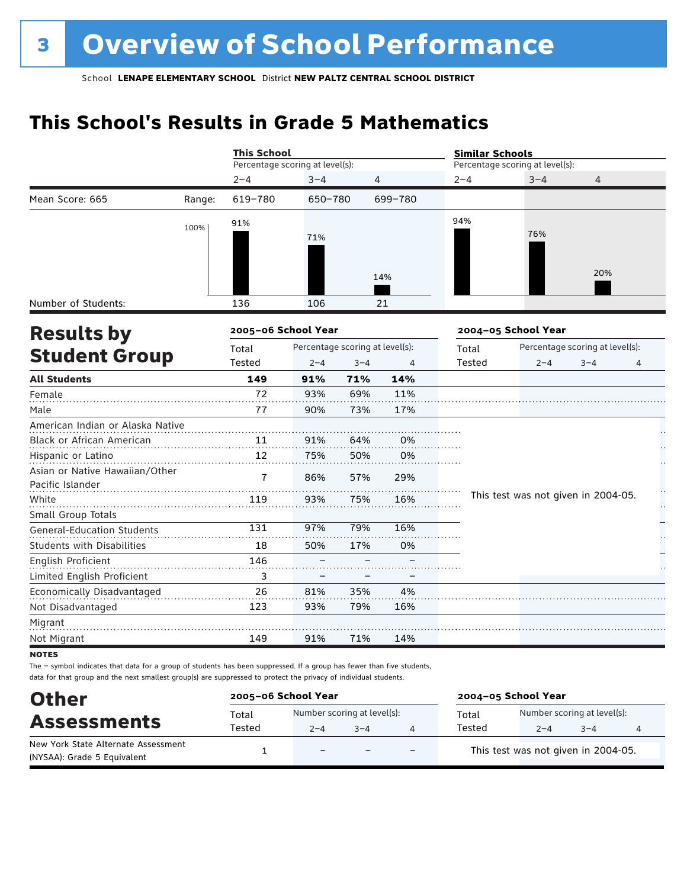### **This School's Results in Grade 5 Mathematics**

|                                   |        | <b>This School</b>                       |         |         |         | <b>Similar Schools</b> |                                     |                                 |   |  |  |
|-----------------------------------|--------|------------------------------------------|---------|---------|---------|------------------------|-------------------------------------|---------------------------------|---|--|--|
|                                   |        | Percentage scoring at level(s):          |         |         |         |                        | Percentage scoring at level(s):     |                                 |   |  |  |
|                                   |        | $2 - 4$                                  | $3 - 4$ |         | 4       | $2 - 4$                | $3 - 4$                             | 4                               |   |  |  |
| Mean Score: 665                   | Range: | 619-780                                  | 650-780 |         | 699-780 |                        |                                     |                                 |   |  |  |
|                                   | 100%   | 91%                                      |         |         |         | 94%                    |                                     |                                 |   |  |  |
|                                   |        |                                          | 71%     |         |         |                        | 76%                                 |                                 |   |  |  |
|                                   |        |                                          |         |         |         |                        |                                     |                                 |   |  |  |
|                                   |        |                                          |         |         | 14%     |                        |                                     | 20%                             |   |  |  |
|                                   |        |                                          |         |         |         |                        |                                     |                                 |   |  |  |
| Number of Students:               |        | 136                                      | 106     |         | 21      |                        |                                     |                                 |   |  |  |
| <b>Results by</b>                 |        | 2005-06 School Year                      |         |         |         |                        | 2004-05 School Year                 |                                 |   |  |  |
|                                   |        | Percentage scoring at level(s):<br>Total |         |         |         | Total                  |                                     | Percentage scoring at level(s): |   |  |  |
| <b>Student Group</b>              |        | Tested                                   | $2 - 4$ | $3 - 4$ | 4       | Tested                 | $2 - 4$                             | $3 - 4$                         | 4 |  |  |
| <b>All Students</b>               |        | 149                                      | 91%     | 71%     | 14%     |                        |                                     |                                 |   |  |  |
| Female                            |        | 72                                       | 93%     | 69%     | 11%     |                        |                                     |                                 |   |  |  |
| Male                              |        | 77                                       | 90%     | 73%     | 17%     |                        |                                     |                                 |   |  |  |
| American Indian or Alaska Native  |        |                                          |         |         |         |                        |                                     |                                 |   |  |  |
| Black or African American         |        | 11                                       | 91%     | 64%     | 0%      |                        |                                     |                                 |   |  |  |
| Hispanic or Latino                |        | 12                                       | 75%     | 50%     | 0%      |                        |                                     |                                 |   |  |  |
| Asian or Native Hawaiian/Other    |        | 7                                        | 86%     | 57%     | 29%     |                        |                                     |                                 |   |  |  |
| Pacific Islander                  |        |                                          |         |         |         |                        | This test was not given in 2004-05. |                                 |   |  |  |
| White                             |        | 119                                      | 93%     | 75%     | 16%     |                        |                                     |                                 |   |  |  |
| Small Group Totals                |        | 131                                      | 97%     | 79%     | 16%     |                        |                                     |                                 |   |  |  |
| General-Education Students        |        |                                          |         |         |         |                        |                                     |                                 |   |  |  |
| <b>Students with Disabilities</b> |        | 18                                       | 50%     | 17%     | 0%      |                        |                                     |                                 |   |  |  |
| <b>English Proficient</b>         |        | 146                                      |         |         |         |                        |                                     |                                 |   |  |  |
| Limited English Proficient        |        | 3                                        |         |         |         |                        |                                     |                                 |   |  |  |
| Economically Disadvantaged        |        | 26                                       | 81%     | 35%     | 4%      |                        |                                     |                                 |   |  |  |
| Not Disadvantaged                 |        | 123                                      | 93%     | 79%     | 16%     |                        |                                     |                                 |   |  |  |
| Migrant                           |        |                                          |         |         |         |                        |                                     |                                 |   |  |  |
| Not Migrant                       |        | 149                                      | 91%     | 71%     | 14%     |                        |                                     |                                 |   |  |  |

**NOTES** 

The – symbol indicates that data for a group of students has been suppressed. If a group has fewer than five students, data for that group and the next smallest group(s) are suppressed to protect the privacy of individual students.

| <b>Other</b>                                                       | 2005-06 School Year |                                        |                          |     | 2004-05 School Year                 |                                        |         |   |  |
|--------------------------------------------------------------------|---------------------|----------------------------------------|--------------------------|-----|-------------------------------------|----------------------------------------|---------|---|--|
| <b>Assessments</b>                                                 | Total<br>Tested     | Number scoring at level(s):<br>$2 - 4$ | $3 - 4$                  |     | Total<br>Tested                     | Number scoring at level(s):<br>$2 - 4$ | $3 - 4$ | 4 |  |
| New York State Alternate Assessment<br>(NYSAA): Grade 5 Equivalent |                     | $\overline{\phantom{0}}$               | $\overline{\phantom{0}}$ | $-$ | This test was not given in 2004-05. |                                        |         |   |  |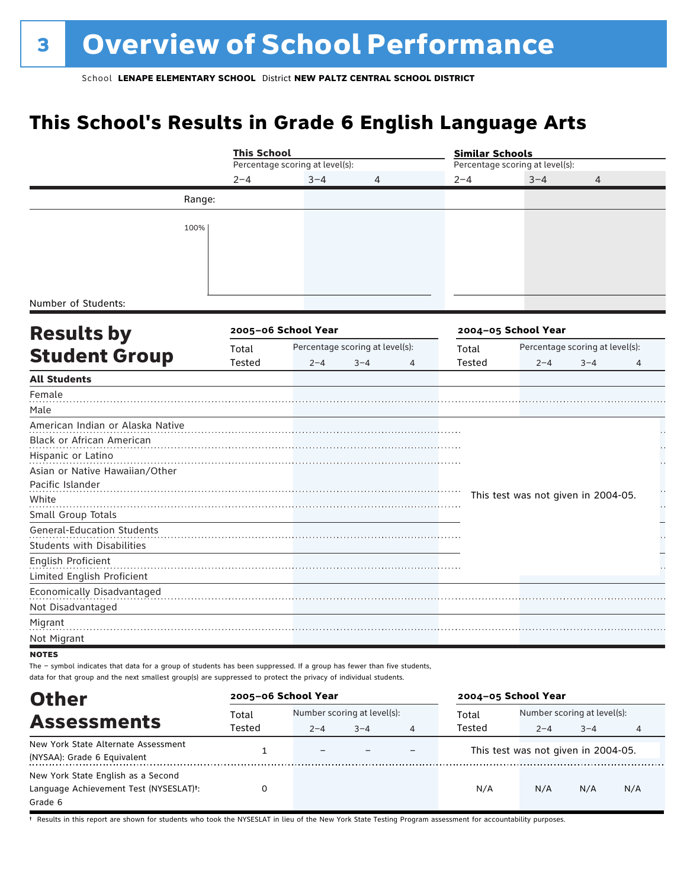### **This School's Results in Grade 6 English Language Arts**

|                                                                                                                                                                                                                                            |         | <b>This School</b>              |                                 |   |         | <b>Similar Schools</b>              |                                 |                |  |  |
|--------------------------------------------------------------------------------------------------------------------------------------------------------------------------------------------------------------------------------------------|---------|---------------------------------|---------------------------------|---|---------|-------------------------------------|---------------------------------|----------------|--|--|
|                                                                                                                                                                                                                                            |         | Percentage scoring at level(s): |                                 |   |         | Percentage scoring at level(s):     |                                 |                |  |  |
|                                                                                                                                                                                                                                            | $2 - 4$ | $3 - 4$                         | 4                               |   | $2 - 4$ | $3 - 4$                             | 4                               |                |  |  |
|                                                                                                                                                                                                                                            | Range:  |                                 |                                 |   |         |                                     |                                 |                |  |  |
|                                                                                                                                                                                                                                            |         |                                 |                                 |   |         |                                     |                                 |                |  |  |
|                                                                                                                                                                                                                                            | 100%    |                                 |                                 |   |         |                                     |                                 |                |  |  |
|                                                                                                                                                                                                                                            |         |                                 |                                 |   |         |                                     |                                 |                |  |  |
|                                                                                                                                                                                                                                            |         |                                 |                                 |   |         |                                     |                                 |                |  |  |
|                                                                                                                                                                                                                                            |         |                                 |                                 |   |         |                                     |                                 |                |  |  |
| Number of Students:                                                                                                                                                                                                                        |         |                                 |                                 |   |         |                                     |                                 |                |  |  |
| <b>Results by</b>                                                                                                                                                                                                                          |         | 2005-06 School Year             |                                 |   |         | 2004-05 School Year                 |                                 |                |  |  |
|                                                                                                                                                                                                                                            | Total   |                                 | Percentage scoring at level(s): |   |         |                                     | Percentage scoring at level(s): |                |  |  |
| <b>Student Group</b>                                                                                                                                                                                                                       | Tested  | $2 - 4$                         | $3 - 4$                         | 4 | Tested  | $2 - 4$                             | $3 - 4$                         | 4              |  |  |
| <b>All Students</b>                                                                                                                                                                                                                        |         |                                 |                                 |   |         |                                     |                                 |                |  |  |
| Female                                                                                                                                                                                                                                     |         |                                 |                                 |   |         |                                     |                                 |                |  |  |
| Male                                                                                                                                                                                                                                       |         |                                 |                                 |   |         |                                     |                                 |                |  |  |
| American Indian or Alaska Native                                                                                                                                                                                                           |         |                                 |                                 |   |         |                                     |                                 |                |  |  |
| Black or African American                                                                                                                                                                                                                  |         |                                 |                                 |   |         |                                     |                                 |                |  |  |
| Hispanic or Latino                                                                                                                                                                                                                         |         |                                 |                                 |   |         |                                     |                                 |                |  |  |
| Asian or Native Hawaiian/Other                                                                                                                                                                                                             |         |                                 |                                 |   |         |                                     |                                 |                |  |  |
| Pacific Islander                                                                                                                                                                                                                           |         |                                 |                                 |   |         |                                     |                                 |                |  |  |
| White                                                                                                                                                                                                                                      |         |                                 |                                 |   |         | This test was not given in 2004-05. |                                 | Н              |  |  |
| Small Group Totals                                                                                                                                                                                                                         |         |                                 |                                 |   |         |                                     |                                 |                |  |  |
| <b>General-Education Students</b>                                                                                                                                                                                                          |         |                                 |                                 |   |         |                                     |                                 |                |  |  |
| <b>Students with Disabilities</b>                                                                                                                                                                                                          |         |                                 |                                 |   |         |                                     |                                 |                |  |  |
| English Proficient                                                                                                                                                                                                                         |         |                                 |                                 |   |         |                                     |                                 |                |  |  |
| Limited English Proficient                                                                                                                                                                                                                 |         |                                 |                                 |   |         |                                     |                                 |                |  |  |
| Economically Disadvantaged<br>Not Disadvantaged                                                                                                                                                                                            |         |                                 |                                 |   |         |                                     |                                 |                |  |  |
| Migrant                                                                                                                                                                                                                                    |         |                                 |                                 |   |         |                                     |                                 |                |  |  |
| Not Migrant                                                                                                                                                                                                                                |         |                                 |                                 |   |         |                                     |                                 |                |  |  |
| <b>NOTES</b>                                                                                                                                                                                                                               |         |                                 |                                 |   |         |                                     |                                 |                |  |  |
| The - symbol indicates that data for a group of students has been suppressed. If a group has fewer than five students,<br>data for that group and the next smallest group(s) are suppressed to protect the privacy of individual students. |         |                                 |                                 |   |         |                                     |                                 |                |  |  |
| <b>Other</b>                                                                                                                                                                                                                               |         | 2005-06 School Year             |                                 |   |         | 2004-05 School Year                 |                                 |                |  |  |
|                                                                                                                                                                                                                                            | Total   | Number scoring at level(s):     |                                 |   | Total   |                                     | Number scoring at level(s):     |                |  |  |
| <b>Assessments</b>                                                                                                                                                                                                                         | Tested  | $2 - 4$                         | $3 - 4$                         | 4 | Tested  | $2 - 4$                             | $3 - 4$                         | $\overline{4}$ |  |  |

| New York State Alternate Assessment<br>(NYSAA): Grade 6 Equivalent | $\overline{\phantom{0}}$ |  | This test was not given in 2004-05. |     |     |     |
|--------------------------------------------------------------------|--------------------------|--|-------------------------------------|-----|-----|-----|
| New York State English as a Second                                 |                          |  |                                     |     |     |     |
| Language Achievement Test (NYSESLAT) <sup>+</sup> :                |                          |  | N/A                                 | N/A | N/A | N/A |
| Grade 6                                                            |                          |  |                                     |     |     |     |

† Results in this report are shown for students who took the NYSESLAT in lieu of the New York State Testing Program assessment for accountability purposes.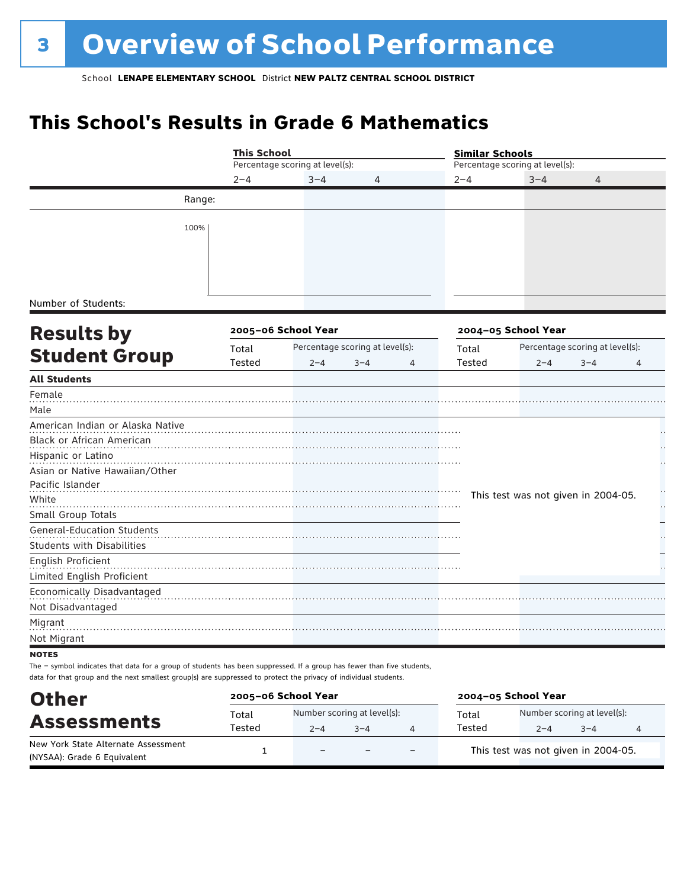### **This School's Results in Grade 6 Mathematics**

|                                                                                                                        |        |                                                                                                                                                                     |         |   | <b>Similar Schools</b> |                                     |                                 |    |  |
|------------------------------------------------------------------------------------------------------------------------|--------|---------------------------------------------------------------------------------------------------------------------------------------------------------------------|---------|---|------------------------|-------------------------------------|---------------------------------|----|--|
|                                                                                                                        |        | <b>This School</b><br>Percentage scoring at level(s):<br>$2 - 4$<br>$3 - 4$<br>2005-06 School Year<br>Percentage scoring at level(s):<br>Total<br>Tested<br>$2 - 4$ |         |   |                        | Percentage scoring at level(s):     |                                 |    |  |
|                                                                                                                        |        |                                                                                                                                                                     | 4       |   | $2 - 4$                | $3 - 4$                             | 4                               |    |  |
|                                                                                                                        | Range: |                                                                                                                                                                     |         |   |                        |                                     |                                 |    |  |
|                                                                                                                        |        |                                                                                                                                                                     |         |   |                        |                                     |                                 |    |  |
| 100%                                                                                                                   |        |                                                                                                                                                                     |         |   |                        |                                     |                                 |    |  |
|                                                                                                                        |        |                                                                                                                                                                     |         |   |                        |                                     |                                 |    |  |
|                                                                                                                        |        |                                                                                                                                                                     |         |   |                        |                                     |                                 |    |  |
|                                                                                                                        |        |                                                                                                                                                                     |         |   |                        |                                     |                                 |    |  |
| Number of Students:                                                                                                    |        |                                                                                                                                                                     |         |   |                        |                                     |                                 |    |  |
|                                                                                                                        |        |                                                                                                                                                                     |         |   |                        |                                     |                                 |    |  |
| <b>Results by</b>                                                                                                      |        |                                                                                                                                                                     |         |   |                        | 2004-05 School Year                 |                                 |    |  |
|                                                                                                                        |        |                                                                                                                                                                     |         |   | Total                  |                                     | Percentage scoring at level(s): |    |  |
| <b>Student Group</b>                                                                                                   |        |                                                                                                                                                                     | $3 - 4$ | 4 | Tested                 | $2 - 4$                             | $3 - 4$                         | 4  |  |
| <b>All Students</b>                                                                                                    |        |                                                                                                                                                                     |         |   |                        |                                     |                                 |    |  |
| Female                                                                                                                 |        |                                                                                                                                                                     |         |   |                        |                                     |                                 |    |  |
| Male                                                                                                                   |        |                                                                                                                                                                     |         |   |                        |                                     |                                 |    |  |
| American Indian or Alaska Native                                                                                       |        |                                                                                                                                                                     |         |   |                        |                                     |                                 |    |  |
| Black or African American                                                                                              |        |                                                                                                                                                                     |         |   |                        |                                     |                                 |    |  |
| Hispanic or Latino                                                                                                     |        |                                                                                                                                                                     |         |   |                        |                                     |                                 |    |  |
| Asian or Native Hawaiian/Other                                                                                         |        |                                                                                                                                                                     |         |   |                        |                                     |                                 |    |  |
| Pacific Islander                                                                                                       |        |                                                                                                                                                                     |         |   |                        |                                     |                                 |    |  |
| White                                                                                                                  |        |                                                                                                                                                                     |         |   |                        | This test was not given in 2004-05. |                                 | μ, |  |
| Small Group Totals                                                                                                     |        |                                                                                                                                                                     |         |   |                        |                                     |                                 |    |  |
| <b>General-Education Students</b>                                                                                      |        |                                                                                                                                                                     |         |   |                        |                                     |                                 |    |  |
| <b>Students with Disabilities</b>                                                                                      |        |                                                                                                                                                                     |         |   |                        |                                     |                                 |    |  |
| English Proficient                                                                                                     |        |                                                                                                                                                                     |         |   |                        |                                     |                                 |    |  |
| Limited English Proficient                                                                                             |        |                                                                                                                                                                     |         |   |                        |                                     |                                 |    |  |
| Economically Disadvantaged                                                                                             |        |                                                                                                                                                                     |         |   |                        |                                     |                                 |    |  |
| Not Disadvantaged                                                                                                      |        |                                                                                                                                                                     |         |   |                        |                                     |                                 |    |  |
| Migrant                                                                                                                |        |                                                                                                                                                                     |         |   |                        |                                     |                                 |    |  |
| Not Migrant                                                                                                            |        |                                                                                                                                                                     |         |   |                        |                                     |                                 |    |  |
| <b>NOTES</b>                                                                                                           |        |                                                                                                                                                                     |         |   |                        |                                     |                                 |    |  |
| The - symbol indicates that data for a group of students has been suppressed. If a group has fewer than five students, |        |                                                                                                                                                                     |         |   |                        |                                     |                                 |    |  |
| data for that group and the next smallest group(s) are suppressed to protect the privacy of individual students.       |        |                                                                                                                                                                     |         |   |                        |                                     |                                 |    |  |

| <b>Other</b>                                                       |        | 2005-06 School Year         |         |   |                                     | 2004-05 School Year |                             |   |  |  |
|--------------------------------------------------------------------|--------|-----------------------------|---------|---|-------------------------------------|---------------------|-----------------------------|---|--|--|
| <b>Assessments</b>                                                 | Total  | Number scoring at level(s): |         |   | Total                               |                     | Number scoring at level(s): |   |  |  |
|                                                                    | Tested | $2 - 4$                     | $3 - 4$ |   | Tested                              | $2 - 4$             | $-4$                        | 4 |  |  |
| New York State Alternate Assessment<br>(NYSAA): Grade 6 Equivalent |        | $\equiv$                    |         | - | This test was not given in 2004-05. |                     |                             |   |  |  |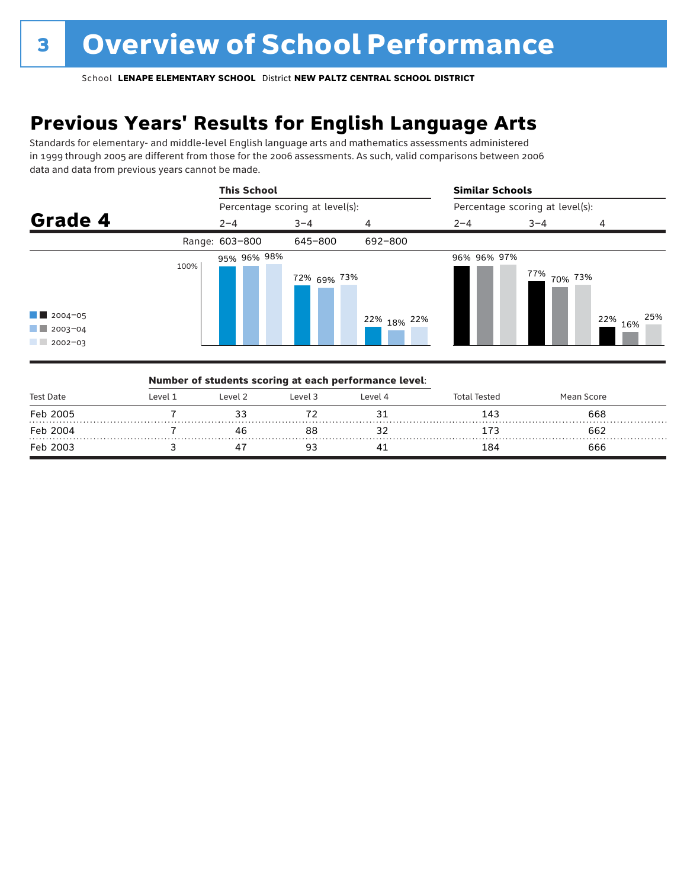### **Previous Years' Results for English Language Arts**

Standards for elementary- and middle-level English language arts and mathematics assessments administered in 1999 through 2005 are different from those for the 2006 assessments. As such, valid comparisons between 2006 data and data from previous years cannot be made.



| <b>Test Date</b> |          |         | Number of students scoring at each performance level: |         |                     |            |  |
|------------------|----------|---------|-------------------------------------------------------|---------|---------------------|------------|--|
|                  | l evel 1 | Level 2 | Level 3                                               | Level 4 | <b>Total Tested</b> | Mean Score |  |
| Feb 2005         |          |         |                                                       |         | 143                 | 668        |  |
| Feb 2004         |          |         | 88                                                    |         |                     | 662        |  |
| Feb 2003         |          |         |                                                       |         | 184                 | 666        |  |